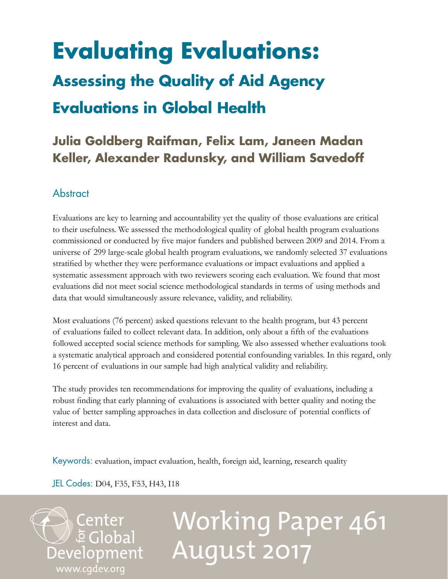# **Evaluating Evaluations: Assessing the Quality of Aid Agency Evaluations in Global Health**

# **Julia Goldberg Raifman, Felix Lam, Janeen Madan Keller, Alexander Radunsky, and William Savedoff**

## **Abstract**

Evaluations are key to learning and accountability yet the quality of those evaluations are critical to their usefulness. We assessed the methodological quality of global health program evaluations commissioned or conducted by five major funders and published between 2009 and 2014. From a universe of 299 large-scale global health program evaluations, we randomly selected 37 evaluations stratified by whether they were performance evaluations or impact evaluations and applied a systematic assessment approach with two reviewers scoring each evaluation. We found that most evaluations did not meet social science methodological standards in terms of using methods and data that would simultaneously assure relevance, validity, and reliability.

Most evaluations (76 percent) asked questions relevant to the health program, but 43 percent of evaluations failed to collect relevant data. In addition, only about a fifth of the evaluations followed accepted social science methods for sampling. We also assessed whether evaluations took a systematic analytical approach and considered potential confounding variables. In this regard, only 16 percent of evaluations in our sample had high analytical validity and reliability.

The study provides ten recommendations for improving the quality of evaluations, including a robust finding that early planning of evaluations is associated with better quality and noting the value of better sampling approaches in data collection and disclosure of potential conflicts of interest and data.

Keywords: evaluation, impact evaluation, health, foreign aid, learning, research quality

JEL Codes: D04, F35, F53, H43, I18

**Center<br>E** Global

[www.cgdev.org](http://www.cgdev.org)

Development

# Working Paper 461 August 2017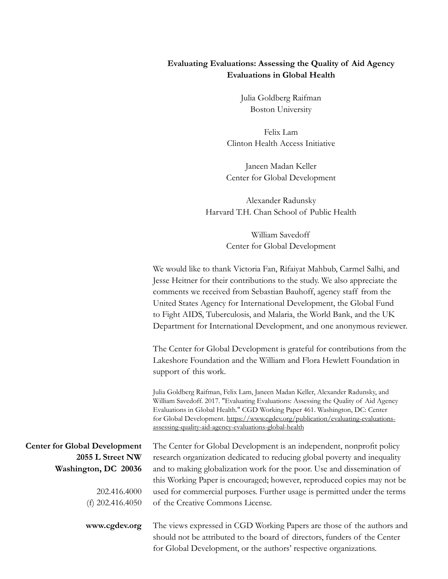### **Evaluating Evaluations: Assessing the Quality of Aid Agency Evaluations in Global Health**

Julia Goldberg Raifman Boston University

Felix Lam Clinton Health Access Initiative

Janeen Madan Keller Center for Global Development

Alexander Radunsky Harvard T.H. Chan School of Public Health

> William Savedoff Center for Global Development

We would like to thank Victoria Fan, Rifaiyat Mahbub, Carmel Salhi, and Jesse Heitner for their contributions to the study. We also appreciate the comments we received from Sebastian Bauhoff, agency staff from the United States Agency for International Development, the Global Fund to Fight AIDS, Tuberculosis, and Malaria, the World Bank, and the UK Department for International Development, and one anonymous reviewer.

The Center for Global Development is grateful for contributions from the Lakeshore Foundation and the William and Flora Hewlett Foundation in support of this work.

Julia Goldberg Raifman, Felix Lam, Janeen Madan Keller, Alexander Radunsky, and William Savedoff. 2017. "Evaluating Evaluations: Assessing the Quality of Aid Agency Evaluations in Global Health." CGD Working Paper 461. Washington, DC: Center for Global Development. https://www.cgdev.org/publication/evaluating-evaluationsassessing-quality-aid-agency-evaluations-global-health

**Center for Global Development 2055 L Street NW Washington, DC 20036**

> 202.416.4000 (f) 202.416.4050

**www.cgdev.org**

The Center for Global Development is an independent, nonprofit policy research organization dedicated to reducing global poverty and inequality and to making globalization work for the poor. Use and dissemination of this Working Paper is encouraged; however, reproduced copies may not be used for commercial purposes. Further usage is permitted under the terms of the Creative Commons License.

The views expressed in CGD Working Papers are those of the authors and should not be attributed to the board of directors, funders of the Center for Global Development, or the authors' respective organizations.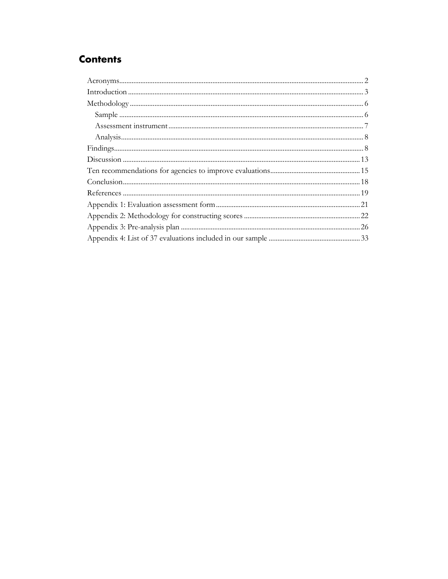# **Contents**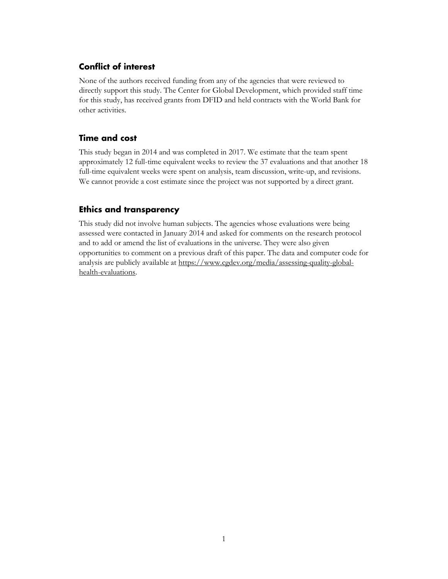## <span id="page-3-0"></span>**Conflict of interest**

None of the authors received funding from any of the agencies that were reviewed to directly support this study. The Center for Global Development, which provided staff time for this study, has received grants from DFID and held contracts with the World Bank for other activities.

## **Time and cost**

This study began in 2014 and was completed in 2017. We estimate that the team spent approximately 12 full-time equivalent weeks to review the 37 evaluations and that another 18 full-time equivalent weeks were spent on analysis, team discussion, write-up, and revisions. We cannot provide a cost estimate since the project was not supported by a direct grant.

### **Ethics and transparency**

This study did not involve human subjects. The agencies whose evaluations were being assessed were contacted in January 2014 and asked for comments on the research protocol and to add or amend the list of evaluations in the universe. They were also given opportunities to comment on a previous draft of this paper. The data and computer code for analysis are publicly available at [https://www.cgdev.org/media/assessing-quality-global](https://www.cgdev.org/media/assessing-quality-global-health-evaluations)[health-evaluations.](https://www.cgdev.org/media/assessing-quality-global-health-evaluations)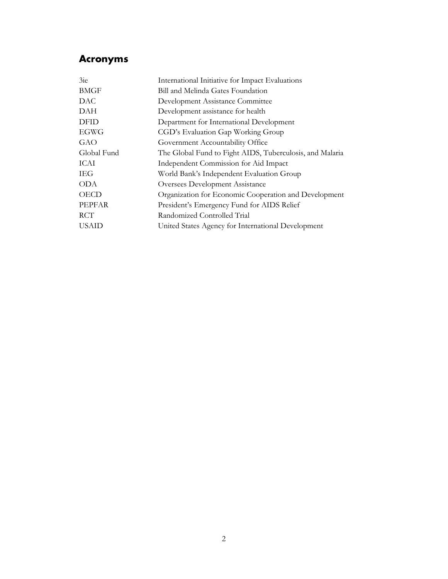## **Acronyms**

| 3ie          | International Initiative for Impact Evaluations          |
|--------------|----------------------------------------------------------|
| <b>BMGF</b>  | Bill and Melinda Gates Foundation                        |
| DAC.         | Development Assistance Committee                         |
| DAH          | Development assistance for health                        |
| <b>DFID</b>  | Department for International Development                 |
| EGWG         | CGD's Evaluation Gap Working Group                       |
| GAO          | Government Accountability Office                         |
| Global Fund  | The Global Fund to Fight AIDS, Tuberculosis, and Malaria |
| ICAI         | Independent Commission for Aid Impact                    |
| IEG          | World Bank's Independent Evaluation Group                |
| <b>ODA</b>   | Oversees Development Assistance                          |
| <b>OECD</b>  | Organization for Economic Cooperation and Development    |
| PEPFAR       | President's Emergency Fund for AIDS Relief               |
| <b>RCT</b>   | Randomized Controlled Trial                              |
| <b>USAID</b> | United States Agency for International Development       |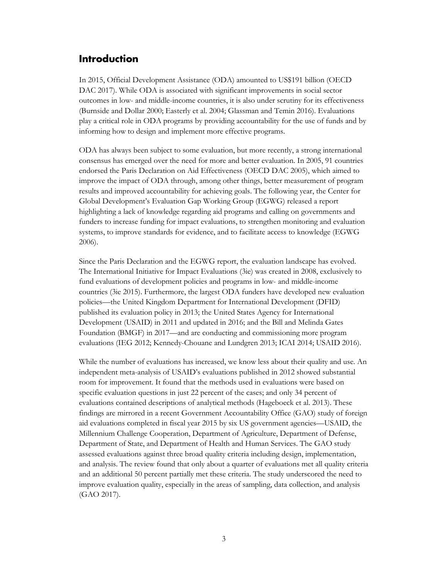## <span id="page-5-0"></span>**Introduction**

In 2015, Official Development Assistance (ODA) amounted to US\$191 billion (OECD DAC 2017). While ODA is associated with significant improvements in social sector outcomes in low- and middle-income countries, it is also under scrutiny for its effectiveness (Burnside and Dollar 2000; Easterly et al. 2004; Glassman and Temin 2016). Evaluations play a critical role in ODA programs by providing accountability for the use of funds and by informing how to design and implement more effective programs.

ODA has always been subject to some evaluation, but more recently, a strong international consensus has emerged over the need for more and better evaluation. In 2005, 91 countries endorsed the Paris Declaration on Aid Effectiveness (OECD DAC 2005), which aimed to improve the impact of ODA through, among other things, better measurement of program results and improved accountability for achieving goals. The following year, the Center for Global Development's Evaluation Gap Working Group (EGWG) released a report highlighting a lack of knowledge regarding aid programs and calling on governments and funders to increase funding for impact evaluations, to strengthen monitoring and evaluation systems, to improve standards for evidence, and to facilitate access to knowledge (EGWG 2006).

Since the Paris Declaration and the EGWG report, the evaluation landscape has evolved. The International Initiative for Impact Evaluations (3ie) was created in 2008, exclusively to fund evaluations of development policies and programs in low- and middle-income countries (3ie 2015). Furthermore, the largest ODA funders have developed new evaluation policies—the United Kingdom Department for International Development (DFID) published its evaluation policy in 2013; the United States Agency for International Development (USAID) in 2011 and updated in 2016; and the Bill and Melinda Gates Foundation (BMGF) in 2017—and are conducting and commissioning more program evaluations (IEG 2012; Kennedy-Chouane and Lundgren 2013; ICAI 2014; USAID 2016).

While the number of evaluations has increased, we know less about their quality and use. An independent meta-analysis of USAID's evaluations published in 2012 showed substantial room for improvement. It found that the methods used in evaluations were based on specific evaluation questions in just 22 percent of the cases; and only 34 percent of evaluations contained descriptions of analytical methods (Hageboeck et al. 2013). These findings are mirrored in a recent Government Accountability Office (GAO) study of foreign aid evaluations completed in fiscal year 2015 by six US government agencies—USAID, the Millennium Challenge Cooperation, Department of Agriculture, Department of Defense, Department of State, and Department of Health and Human Services. The GAO study assessed evaluations against three broad quality criteria including design, implementation, and analysis. The review found that only about a quarter of evaluations met all quality criteria and an additional 50 percent partially met these criteria. The study underscored the need to improve evaluation quality, especially in the areas of sampling, data collection, and analysis (GAO 2017).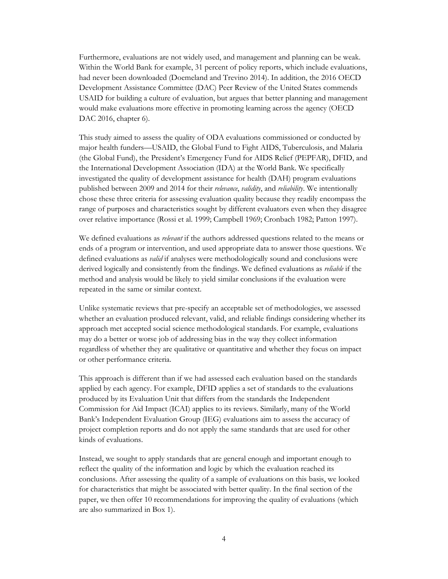Furthermore, evaluations are not widely used, and management and planning can be weak. Within the World Bank for example, 31 percent of policy reports, which include evaluations, had never been downloaded (Doemeland and Trevino 2014). In addition, the 2016 OECD Development Assistance Committee (DAC) Peer Review of the United States commends USAID for building a culture of evaluation, but argues that better planning and management would make evaluations more effective in promoting learning across the agency (OECD DAC 2016, chapter 6).

This study aimed to assess the quality of ODA evaluations commissioned or conducted by major health funders—USAID, the Global Fund to Fight AIDS, Tuberculosis, and Malaria (the Global Fund), the President's Emergency Fund for AIDS Relief (PEPFAR), DFID, and the International Development Association (IDA) at the World Bank. We specifically investigated the quality of development assistance for health (DAH) program evaluations published between 2009 and 2014 for their *relevance*, *validity*, and *reliability*. We intentionally chose these three criteria for assessing evaluation quality because they readily encompass the range of purposes and characteristics sought by different evaluators even when they disagree over relative importance (Rossi et al. 1999; Campbell 1969; Cronbach 1982; Patton 1997).

We defined evaluations as *relevant* if the authors addressed questions related to the means or ends of a program or intervention, and used appropriate data to answer those questions. We defined evaluations as *valid* if analyses were methodologically sound and conclusions were derived logically and consistently from the findings. We defined evaluations as *reliable* if the method and analysis would be likely to yield similar conclusions if the evaluation were repeated in the same or similar context.

Unlike systematic reviews that pre-specify an acceptable set of methodologies, we assessed whether an evaluation produced relevant, valid, and reliable findings considering whether its approach met accepted social science methodological standards. For example, evaluations may do a better or worse job of addressing bias in the way they collect information regardless of whether they are qualitative or quantitative and whether they focus on impact or other performance criteria.

This approach is different than if we had assessed each evaluation based on the standards applied by each agency. For example, DFID applies a set of standards to the evaluations produced by its Evaluation Unit that differs from the standards the Independent Commission for Aid Impact (ICAI) applies to its reviews. Similarly, many of the World Bank's Independent Evaluation Group (IEG) evaluations aim to assess the accuracy of project completion reports and do not apply the same standards that are used for other kinds of evaluations.

Instead, we sought to apply standards that are general enough and important enough to reflect the quality of the information and logic by which the evaluation reached its conclusions. After assessing the quality of a sample of evaluations on this basis, we looked for characteristics that might be associated with better quality. In the final section of the paper, we then offer 10 recommendations for improving the quality of evaluations (which are also summarized in Box 1).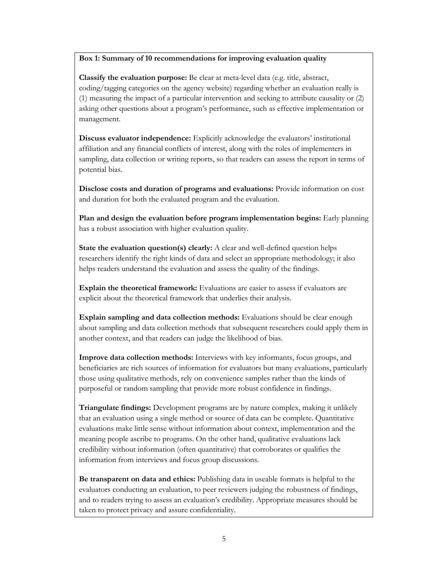#### **Box 1: Summary of 10 recommendations for improving evaluation quality**

**Classify the evaluation purpose:** Be clear at meta-level data (e.g. title, abstract, coding/tagging categories on the agency website) regarding whether an evaluation really is (1) measuring the impact of a particular intervention and seeking to attribute causality or (2) asking other questions about a program's performance, such as effective implementation or management.

**Discuss evaluator independence:** Explicitly acknowledge the evaluators' institutional affiliation and any financial conflicts of interest, along with the roles of implementers in sampling, data collection or writing reports, so that readers can assess the report in terms of potential bias.

**Disclose costs and duration of programs and evaluations:** Provide information on cost and duration for both the evaluated program and the evaluation.

**Plan and design the evaluation before program implementation begins:** Early planning has a robust association with higher evaluation quality.

**State the evaluation question(s) clearly:** A clear and well-defined question helps researchers identify the right kinds of data and select an appropriate methodology; it also helps readers understand the evaluation and assess the quality of the findings.

**Explain the theoretical framework:** Evaluations are easier to assess if evaluators are explicit about the theoretical framework that underlies their analysis.

**Explain sampling and data collection methods:** Evaluations should be clear enough about sampling and data collection methods that subsequent researchers could apply them in another context, and that readers can judge the likelihood of bias.

**Improve data collection methods:** Interviews with key informants, focus groups, and beneficiaries are rich sources of information for evaluators but many evaluations, particularly those using qualitative methods, rely on convenience samples rather than the kinds of purposeful or random sampling that provide more robust confidence in findings.

**Triangulate findings:** Development programs are by nature complex, making it unlikely that an evaluation using a single method or source of data can be complete. Quantitative evaluations make little sense without information about context, implementation and the meaning people ascribe to programs. On the other hand, qualitative evaluations lack credibility without information (often quantitative) that corroborates or qualifies the information from interviews and focus group discussions.

**Be transparent on data and ethics:** Publishing data in useable formats is helpful to the evaluators conducting an evaluation, to peer reviewers judging the robustness of findings, and to readers trying to assess an evaluation's credibility. Appropriate measures should be taken to protect privacy and assure confidentiality.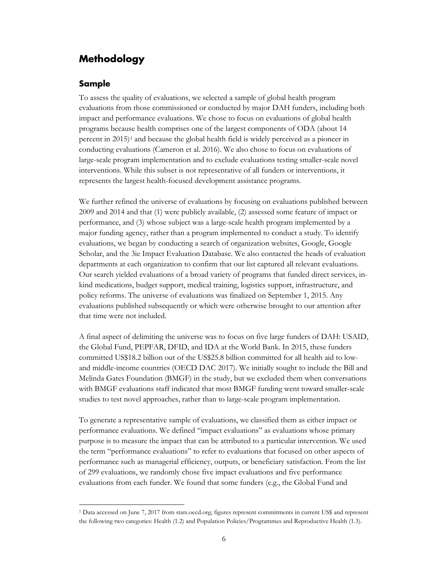## <span id="page-8-0"></span>**Methodology**

#### <span id="page-8-1"></span>**Sample**

To assess the quality of evaluations, we selected a sample of global health program evaluations from those commissioned or conducted by major DAH funders, including both impact and performance evaluations. We chose to focus on evaluations of global health programs because health comprises one of the largest components of ODA (about 14 percent in 2015)[1](#page-8-2) and because the global health field is widely perceived as a pioneer in conducting evaluations (Cameron et al. 2016). We also chose to focus on evaluations of large-scale program implementation and to exclude evaluations testing smaller-scale novel interventions. While this subset is not representative of all funders or interventions, it represents the largest health-focused development assistance programs.

We further refined the universe of evaluations by focusing on evaluations published between 2009 and 2014 and that (1) were publicly available, (2) assessed some feature of impact or performance, and (3) whose subject was a large-scale health program implemented by a major funding agency, rather than a program implemented to conduct a study. To identify evaluations, we began by conducting a search of organization websites, Google, Google Scholar, and the 3ie Impact Evaluation Database. We also contacted the heads of evaluation departments at each organization to confirm that our list captured all relevant evaluations. Our search yielded evaluations of a broad variety of programs that funded direct services, inkind medications, budget support, medical training, logistics support, infrastructure, and policy reforms. The universe of evaluations was finalized on September 1, 2015. Any evaluations published subsequently or which were otherwise brought to our attention after that time were not included.

A final aspect of delimiting the universe was to focus on five large funders of DAH: USAID, the Global Fund, PEPFAR, DFID, and IDA at the World Bank. In 2015, these funders committed US\$18.2 billion out of the US\$25.8 billion committed for all health aid to lowand middle-income countries (OECD DAC 2017). We initially sought to include the Bill and Melinda Gates Foundation (BMGF) in the study, but we excluded them when conversations with BMGF evaluations staff indicated that most BMGF funding went toward smaller-scale studies to test novel approaches, rather than to large-scale program implementation.

To generate a representative sample of evaluations, we classified them as either impact or performance evaluations. We defined "impact evaluations" as evaluations whose primary purpose is to measure the impact that can be attributed to a particular intervention. We used the term "performance evaluations" to refer to evaluations that focused on other aspects of performance such as managerial efficiency, outputs, or beneficiary satisfaction. From the list of 299 evaluations, we randomly chose five impact evaluations and five performance evaluations from each funder. We found that some funders (e.g., the Global Fund and

<span id="page-8-2"></span> <sup>1</sup> Data accessed on June 7, 2017 from stats.oecd.org; figures represent commitments in current US\$ and represent the following two categories: Health (1.2) and Population Policies/Programmes and Reproductive Health (1.3).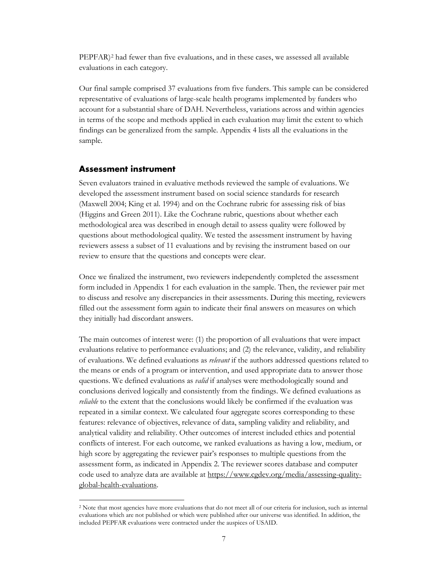PEPFAR)<sup>[2](#page-9-1)</sup> had fewer than five evaluations, and in these cases, we assessed all available evaluations in each category.

Our final sample comprised 37 evaluations from five funders. This sample can be considered representative of evaluations of large-scale health programs implemented by funders who account for a substantial share of DAH. Nevertheless, variations across and within agencies in terms of the scope and methods applied in each evaluation may limit the extent to which findings can be generalized from the sample. Appendix 4 lists all the evaluations in the sample.

#### <span id="page-9-0"></span>**Assessment instrument**

Seven evaluators trained in evaluative methods reviewed the sample of evaluations. We developed the assessment instrument based on social science standards for research (Maxwell 2004; King et al. 1994) and on the Cochrane rubric for assessing risk of bias (Higgins and Green 2011). Like the Cochrane rubric, questions about whether each methodological area was described in enough detail to assess quality were followed by questions about methodological quality. We tested the assessment instrument by having reviewers assess a subset of 11 evaluations and by revising the instrument based on our review to ensure that the questions and concepts were clear.

Once we finalized the instrument, two reviewers independently completed the assessment form included in Appendix 1 for each evaluation in the sample. Then, the reviewer pair met to discuss and resolve any discrepancies in their assessments. During this meeting, reviewers filled out the assessment form again to indicate their final answers on measures on which they initially had discordant answers.

The main outcomes of interest were: (1) the proportion of all evaluations that were impact evaluations relative to performance evaluations; and (2) the relevance, validity, and reliability of evaluations. We defined evaluations as *relevant* if the authors addressed questions related to the means or ends of a program or intervention, and used appropriate data to answer those questions. We defined evaluations as *valid* if analyses were methodologically sound and conclusions derived logically and consistently from the findings. We defined evaluations as *reliable* to the extent that the conclusions would likely be confirmed if the evaluation was repeated in a similar context. We calculated four aggregate scores corresponding to these features: relevance of objectives, relevance of data, sampling validity and reliability, and analytical validity and reliability. Other outcomes of interest included ethics and potential conflicts of interest. For each outcome, we ranked evaluations as having a low, medium, or high score by aggregating the reviewer pair's responses to multiple questions from the assessment form, as indicated in Appendix 2. The reviewer scores database and computer code used to analyze data are available at [https://www.cgdev.org/media/assessing-quality](https://www.cgdev.org/media/assessing-quality-global-health-evaluations)[global-health-evaluations.](https://www.cgdev.org/media/assessing-quality-global-health-evaluations)

<span id="page-9-1"></span><sup>&</sup>lt;sup>2</sup> Note that most agencies have more evaluations that do not meet all of our criteria for inclusion, such as internal evaluations which are not published or which were published after our universe was identified. In addition, the included PEPFAR evaluations were contracted under the auspices of USAID.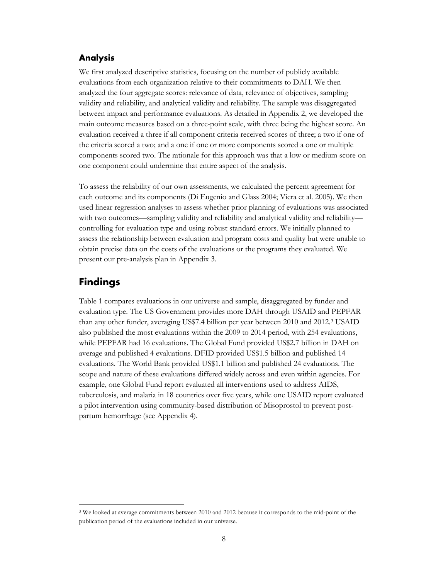#### <span id="page-10-0"></span>**Analysis**

We first analyzed descriptive statistics, focusing on the number of publicly available evaluations from each organization relative to their commitments to DAH. We then analyzed the four aggregate scores: relevance of data, relevance of objectives, sampling validity and reliability, and analytical validity and reliability. The sample was disaggregated between impact and performance evaluations. As detailed in Appendix 2, we developed the main outcome measures based on a three-point scale, with three being the highest score. An evaluation received a three if all component criteria received scores of three; a two if one of the criteria scored a two; and a one if one or more components scored a one or multiple components scored two. The rationale for this approach was that a low or medium score on one component could undermine that entire aspect of the analysis.

To assess the reliability of our own assessments, we calculated the percent agreement for each outcome and its components (Di Eugenio and Glass 2004; Viera et al. 2005). We then used linear regression analyses to assess whether prior planning of evaluations was associated with two outcomes—sampling validity and reliability and analytical validity and reliability controlling for evaluation type and using robust standard errors. We initially planned to assess the relationship between evaluation and program costs and quality but were unable to obtain precise data on the costs of the evaluations or the programs they evaluated. We present our pre-analysis plan in Appendix 3.

## <span id="page-10-1"></span>**Findings**

Table 1 compares evaluations in our universe and sample, disaggregated by funder and evaluation type. The US Government provides more DAH through USAID and PEPFAR than any other funder, averaging US\$7.4 billion per year between 2010 and 2012.[3](#page-10-2) USAID also published the most evaluations within the 2009 to 2014 period, with 254 evaluations, while PEPFAR had 16 evaluations. The Global Fund provided US\$2.7 billion in DAH on average and published 4 evaluations. DFID provided US\$1.5 billion and published 14 evaluations. The World Bank provided US\$1.1 billion and published 24 evaluations. The scope and nature of these evaluations differed widely across and even within agencies. For example, one Global Fund report evaluated all interventions used to address AIDS, tuberculosis, and malaria in 18 countries over five years, while one USAID report evaluated a pilot intervention using community-based distribution of Misoprostol to prevent postpartum hemorrhage (see Appendix 4).

<span id="page-10-2"></span> <sup>3</sup> We looked at average commitments between 2010 and 2012 because it corresponds to the mid-point of the publication period of the evaluations included in our universe.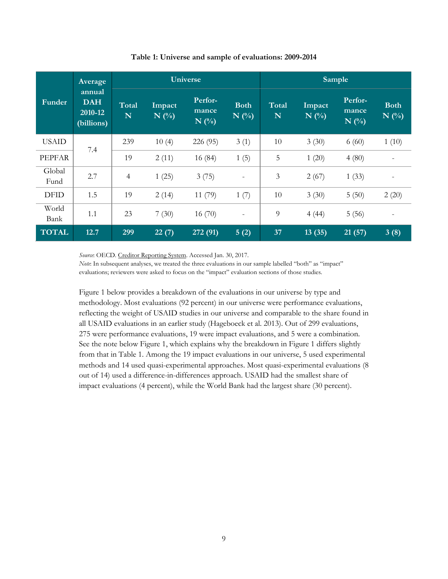|                | Average                                       |            |                   | <b>Universe</b>             |                          | Sample     |                   |                                      |                        |
|----------------|-----------------------------------------------|------------|-------------------|-----------------------------|--------------------------|------------|-------------------|--------------------------------------|------------------------|
| Funder         | annual<br><b>DAH</b><br>2010-12<br>(billions) | Total<br>N | Impact<br>$N$ (%) | Perfor-<br>mance<br>$N($ %) | <b>Both</b><br>$N($ %)   | Total<br>N | Impact<br>$N($ %) | Perfor-<br>mance<br>$N(\sqrt[6]{6})$ | <b>Both</b><br>$N($ %) |
| <b>USAID</b>   | 7.4                                           | 239        | 10(4)             | 226 (95)                    | 3(1)                     | 10         | 3(30)             | 6(60)                                | 1(10)                  |
| <b>PEPFAR</b>  |                                               | 19         | 2(11)             | 16 (84)                     | 1(5)                     | 5          | 1(20)             | 4(80)                                |                        |
| Global<br>Fund | 2.7                                           | 4          | 1(25)             | 3(75)                       | $\qquad \qquad -$        | 3          | 2(67)             | 1(33)                                | $\qquad \qquad -$      |
| <b>DFID</b>    | 1.5                                           | 19         | 2(14)             | 11(79)                      | 1(7)                     | 10         | 3(30)             | 5(50)                                | 2(20)                  |
| World<br>Bank  | 1.1                                           | 23         | 7(30)             | 16(70)                      | $\overline{\phantom{m}}$ | 9          | 4(44)             | 5(56)                                |                        |
| <b>TOTAL</b>   | 12.7                                          | 299        | 22(7)             | 272 (91)                    | 5(2)                     | 37         | 13(35)            | 21(57)                               | 3(8)                   |

#### **Table 1: Universe and sample of evaluations: 2009-2014**

*Source*: OECD[. Creditor Reporting System.](https://stats.oecd.org/Index.aspx?DataSetCode=CRS1) Accessed Jan. 30, 2017.

*Note*: In subsequent analyses, we treated the three evaluations in our sample labelled "both" as "impact" evaluations; reviewers were asked to focus on the "impact" evaluation sections of those studies.

Figure 1 below provides a breakdown of the evaluations in our universe by type and methodology. Most evaluations (92 percent) in our universe were performance evaluations, reflecting the weight of USAID studies in our universe and comparable to the share found in all USAID evaluations in an earlier study (Hageboeck et al. 2013). Out of 299 evaluations, 275 were performance evaluations, 19 were impact evaluations, and 5 were a combination. See the note below Figure 1, which explains why the breakdown in Figure 1 differs slightly from that in Table 1. Among the 19 impact evaluations in our universe, 5 used experimental methods and 14 used quasi-experimental approaches. Most quasi-experimental evaluations (8 out of 14) used a difference-in-differences approach. USAID had the smallest share of impact evaluations (4 percent), while the World Bank had the largest share (30 percent).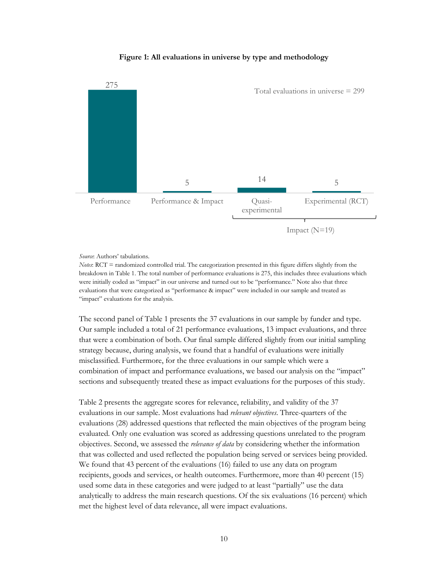#### **Figure 1: All evaluations in universe by type and methodology**



#### *Source*: Authors' tabulations.

*Notes*: RCT = randomized controlled trial. The categorization presented in this figure differs slightly from the breakdown in Table 1. The total number of performance evaluations is 275, this includes three evaluations which were initially coded as "impact" in our universe and turned out to be "performance." Note also that three evaluations that were categorized as "performance & impact" were included in our sample and treated as "impact" evaluations for the analysis.

The second panel of Table 1 presents the 37 evaluations in our sample by funder and type. Our sample included a total of 21 performance evaluations, 13 impact evaluations, and three that were a combination of both. Our final sample differed slightly from our initial sampling strategy because, during analysis, we found that a handful of evaluations were initially misclassified. Furthermore, for the three evaluations in our sample which were a combination of impact and performance evaluations, we based our analysis on the "impact" sections and subsequently treated these as impact evaluations for the purposes of this study.

Table 2 presents the aggregate scores for relevance, reliability, and validity of the 37 evaluations in our sample. Most evaluations had *relevant objectives*. Three-quarters of the evaluations (28) addressed questions that reflected the main objectives of the program being evaluated. Only one evaluation was scored as addressing questions unrelated to the program objectives. Second, we assessed the *relevance of data* by considering whether the information that was collected and used reflected the population being served or services being provided. We found that 43 percent of the evaluations (16) failed to use any data on program recipients, goods and services, or health outcomes. Furthermore, more than 40 percent (15) used some data in these categories and were judged to at least "partially" use the data analytically to address the main research questions. Of the six evaluations (16 percent) which met the highest level of data relevance, all were impact evaluations.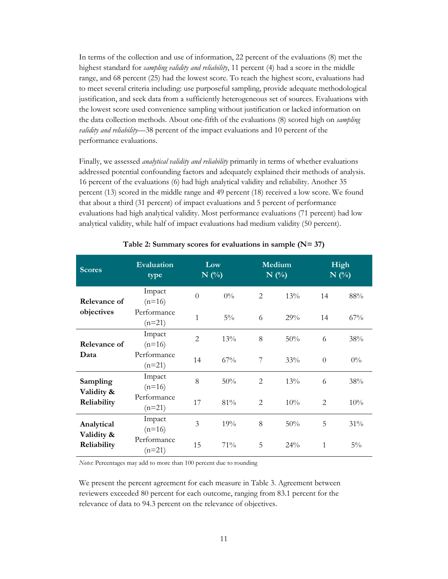In terms of the collection and use of information, 22 percent of the evaluations (8) met the highest standard for *sampling validity and reliability*, 11 percent (4) had a score in the middle range, and 68 percent (25) had the lowest score. To reach the highest score, evaluations had to meet several criteria including: use purposeful sampling, provide adequate methodological justification, and seek data from a sufficiently heterogeneous set of sources. Evaluations with the lowest score used convenience sampling without justification or lacked information on the data collection methods. About one-fifth of the evaluations (8) scored high on *sampling validity and reliability*—38 percent of the impact evaluations and 10 percent of the performance evaluations.

Finally, we assessed *analytical validity and reliability* primarily in terms of whether evaluations addressed potential confounding factors and adequately explained their methods of analysis. 16 percent of the evaluations (6) had high analytical validity and reliability. Another 35 percent (13) scored in the middle range and 49 percent (18) received a low score. We found that about a third (31 percent) of impact evaluations and 5 percent of performance evaluations had high analytical validity. Most performance evaluations (71 percent) had low analytical validity, while half of impact evaluations had medium validity (50 percent).

| <b>Scores</b>            | <b>Evaluation</b><br>type |                | Low<br><b>Medium</b><br>$N$ (%)<br>$N(\%)$ |   |     | High<br>$N$ (%) |        |
|--------------------------|---------------------------|----------------|--------------------------------------------|---|-----|-----------------|--------|
| Relevance of             | Impact<br>$(n=16)$        | $\overline{0}$ | $0\%$                                      | 2 | 13% | 14              | $88\%$ |
| objectives               | Performance<br>$(n=21)$   | 1              | $5\%$                                      | 6 | 29% | 14              | 67%    |
| Relevance of             | Impact<br>$(n=16)$        | $\overline{2}$ | 13%                                        | 8 | 50% | 6               | 38%    |
| Data                     | Performance<br>$(n=21)$   | 14             | 67%                                        | 7 | 33% | $\theta$        | $0\%$  |
| Sampling<br>Validity &   | Impact<br>$(n=16)$        | 8              | 50%                                        | 2 | 13% | 6               | 38%    |
| Reliability              | Performance<br>$(n=21)$   | 17             | 81%                                        | 2 | 10% | $\overline{2}$  | 10%    |
| Analytical<br>Validity & | Impact<br>$(n=16)$        | 3              | 19%                                        | 8 | 50% | 5               | 31%    |
| Reliability              | Performance<br>$(n=21)$   | 15             | 71%                                        | 5 | 24% | 1               | $5\%$  |

#### **Table 2: Summary scores for evaluations in sample (N= 37)**

*Notes*: Percentages may add to more than 100 percent due to rounding

We present the percent agreement for each measure in Table 3. Agreement between reviewers exceeded 80 percent for each outcome, ranging from 83.1 percent for the relevance of data to 94.3 percent on the relevance of objectives.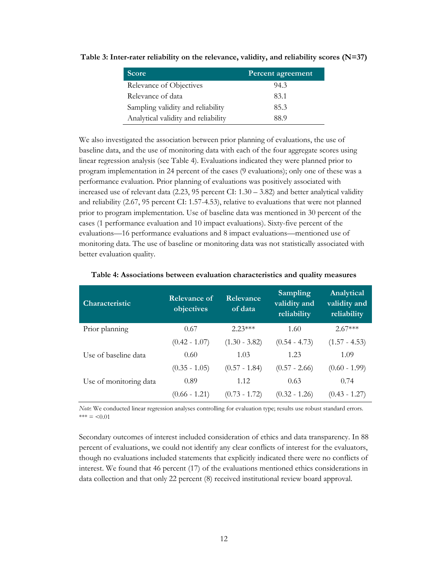| Score                               | Percent agreement |
|-------------------------------------|-------------------|
| Relevance of Objectives             | 94.3              |
| Relevance of data                   | 83.1              |
| Sampling validity and reliability   | 85.3              |
| Analytical validity and reliability | 88.9              |

**Table 3: Inter-rater reliability on the relevance, validity, and reliability scores (N=37)**

We also investigated the association between prior planning of evaluations, the use of baseline data, and the use of monitoring data with each of the four aggregate scores using linear regression analysis (see Table 4). Evaluations indicated they were planned prior to program implementation in 24 percent of the cases (9 evaluations); only one of these was a performance evaluation. Prior planning of evaluations was positively associated with increased use of relevant data  $(2.23, 95)$  percent CI:  $1.30 - 3.82$ ) and better analytical validity and reliability (2.67, 95 percent CI: 1.57-4.53), relative to evaluations that were not planned prior to program implementation. Use of baseline data was mentioned in 30 percent of the cases (1 performance evaluation and 10 impact evaluations). Sixty-five percent of the evaluations—16 performance evaluations and 8 impact evaluations—mentioned use of monitoring data. The use of baseline or monitoring data was not statistically associated with better evaluation quality.

| <b>Characteristic</b>  | Relevance of<br>objectives | Relevance<br>of data | Sampling<br>validity and<br>reliability | Analytical<br>validity and<br>reliability |
|------------------------|----------------------------|----------------------|-----------------------------------------|-------------------------------------------|
| Prior planning         | 0.67                       | $2.23***$            | 1.60                                    | $2.67***$                                 |
|                        | $(0.42 - 1.07)$            | $(1.30 - 3.82)$      | $(0.54 - 4.73)$                         | $(1.57 - 4.53)$                           |
| Use of baseline data   | 0.60                       | 1.03                 | 1.23                                    | 1.09                                      |
|                        | $(0.35 - 1.05)$            | $(0.57 - 1.84)$      | $(0.57 - 2.66)$                         | $(0.60 - 1.99)$                           |
| Use of monitoring data | 0.89                       | 1.12                 | 0.63                                    | 0.74                                      |
|                        | $(0.66 - 1.21)$            | $(0.73 - 1.72)$      | $(0.32 - 1.26)$                         | $(0.43 - 1.27)$                           |

#### **Table 4: Associations between evaluation characteristics and quality measures**

*Note*: We conducted linear regression analyses controlling for evaluation type; results use robust standard errors.  $*** = < 0.01$ 

Secondary outcomes of interest included consideration of ethics and data transparency. In 88 percent of evaluations, we could not identify any clear conflicts of interest for the evaluators, though no evaluations included statements that explicitly indicated there were no conflicts of interest. We found that 46 percent (17) of the evaluations mentioned ethics considerations in data collection and that only 22 percent (8) received institutional review board approval.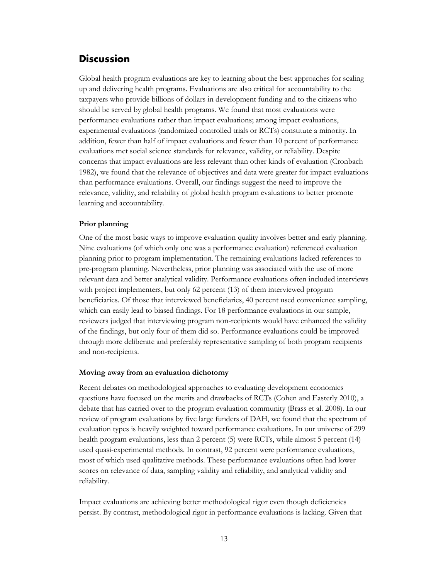## <span id="page-15-0"></span>**Discussion**

Global health program evaluations are key to learning about the best approaches for scaling up and delivering health programs. Evaluations are also critical for accountability to the taxpayers who provide billions of dollars in development funding and to the citizens who should be served by global health programs. We found that most evaluations were performance evaluations rather than impact evaluations; among impact evaluations, experimental evaluations (randomized controlled trials or RCTs) constitute a minority. In addition, fewer than half of impact evaluations and fewer than 10 percent of performance evaluations met social science standards for relevance, validity, or reliability. Despite concerns that impact evaluations are less relevant than other kinds of evaluation (Cronbach 1982), we found that the relevance of objectives and data were greater for impact evaluations than performance evaluations. Overall, our findings suggest the need to improve the relevance, validity, and reliability of global health program evaluations to better promote learning and accountability.

#### **Prior planning**

One of the most basic ways to improve evaluation quality involves better and early planning. Nine evaluations (of which only one was a performance evaluation) referenced evaluation planning prior to program implementation. The remaining evaluations lacked references to pre-program planning. Nevertheless, prior planning was associated with the use of more relevant data and better analytical validity. Performance evaluations often included interviews with project implementers, but only 62 percent (13) of them interviewed program beneficiaries. Of those that interviewed beneficiaries, 40 percent used convenience sampling, which can easily lead to biased findings. For 18 performance evaluations in our sample, reviewers judged that interviewing program non-recipients would have enhanced the validity of the findings, but only four of them did so. Performance evaluations could be improved through more deliberate and preferably representative sampling of both program recipients and non-recipients.

#### **Moving away from an evaluation dichotomy**

Recent debates on methodological approaches to evaluating development economics questions have focused on the merits and drawbacks of RCTs (Cohen and Easterly 2010), a debate that has carried over to the program evaluation community (Brass et al. 2008). In our review of program evaluations by five large funders of DAH, we found that the spectrum of evaluation types is heavily weighted toward performance evaluations. In our universe of 299 health program evaluations, less than 2 percent (5) were RCTs, while almost 5 percent (14) used quasi-experimental methods. In contrast, 92 percent were performance evaluations, most of which used qualitative methods. These performance evaluations often had lower scores on relevance of data, sampling validity and reliability, and analytical validity and reliability.

Impact evaluations are achieving better methodological rigor even though deficiencies persist. By contrast, methodological rigor in performance evaluations is lacking. Given that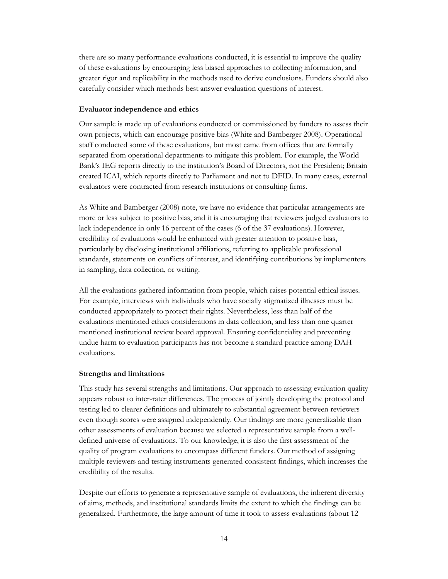there are so many performance evaluations conducted, it is essential to improve the quality of these evaluations by encouraging less biased approaches to collecting information, and greater rigor and replicability in the methods used to derive conclusions. Funders should also carefully consider which methods best answer evaluation questions of interest.

#### **Evaluator independence and ethics**

Our sample is made up of evaluations conducted or commissioned by funders to assess their own projects, which can encourage positive bias (White and Bamberger 2008). Operational staff conducted some of these evaluations, but most came from offices that are formally separated from operational departments to mitigate this problem. For example, the World Bank's IEG reports directly to the institution's Board of Directors, not the President; Britain created ICAI, which reports directly to Parliament and not to DFID. In many cases, external evaluators were contracted from research institutions or consulting firms.

As White and Bamberger (2008) note, we have no evidence that particular arrangements are more or less subject to positive bias, and it is encouraging that reviewers judged evaluators to lack independence in only 16 percent of the cases (6 of the 37 evaluations). However, credibility of evaluations would be enhanced with greater attention to positive bias, particularly by disclosing institutional affiliations, referring to applicable professional standards, statements on conflicts of interest, and identifying contributions by implementers in sampling, data collection, or writing.

All the evaluations gathered information from people, which raises potential ethical issues. For example, interviews with individuals who have socially stigmatized illnesses must be conducted appropriately to protect their rights. Nevertheless, less than half of the evaluations mentioned ethics considerations in data collection, and less than one quarter mentioned institutional review board approval. Ensuring confidentiality and preventing undue harm to evaluation participants has not become a standard practice among DAH evaluations.

#### **Strengths and limitations**

This study has several strengths and limitations. Our approach to assessing evaluation quality appears robust to inter-rater differences. The process of jointly developing the protocol and testing led to clearer definitions and ultimately to substantial agreement between reviewers even though scores were assigned independently. Our findings are more generalizable than other assessments of evaluation because we selected a representative sample from a welldefined universe of evaluations. To our knowledge, it is also the first assessment of the quality of program evaluations to encompass different funders. Our method of assigning multiple reviewers and testing instruments generated consistent findings, which increases the credibility of the results.

Despite our efforts to generate a representative sample of evaluations, the inherent diversity of aims, methods, and institutional standards limits the extent to which the findings can be generalized. Furthermore, the large amount of time it took to assess evaluations (about 12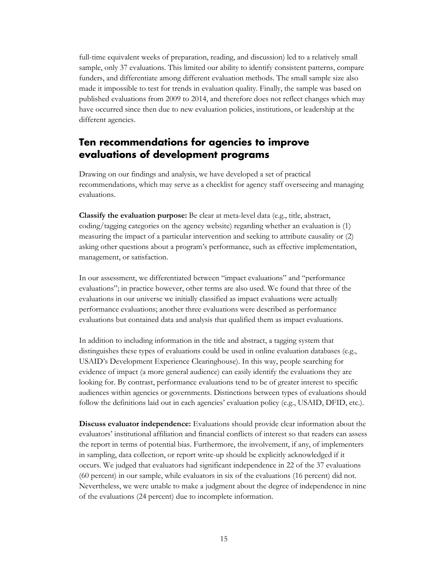full-time equivalent weeks of preparation, reading, and discussion) led to a relatively small sample, only 37 evaluations. This limited our ability to identify consistent patterns, compare funders, and differentiate among different evaluation methods. The small sample size also made it impossible to test for trends in evaluation quality. Finally, the sample was based on published evaluations from 2009 to 2014, and therefore does not reflect changes which may have occurred since then due to new evaluation policies, institutions, or leadership at the different agencies.

## <span id="page-17-0"></span>**Ten recommendations for agencies to improve evaluations of development programs**

Drawing on our findings and analysis, we have developed a set of practical recommendations, which may serve as a checklist for agency staff overseeing and managing evaluations.

**Classify the evaluation purpose:** Be clear at meta-level data (e.g., title, abstract, coding/tagging categories on the agency website) regarding whether an evaluation is (1) measuring the impact of a particular intervention and seeking to attribute causality or (2) asking other questions about a program's performance, such as effective implementation, management, or satisfaction.

In our assessment, we differentiated between "impact evaluations" and "performance evaluations"; in practice however, other terms are also used. We found that three of the evaluations in our universe we initially classified as impact evaluations were actually performance evaluations; another three evaluations were described as performance evaluations but contained data and analysis that qualified them as impact evaluations.

In addition to including information in the title and abstract, a tagging system that distinguishes these types of evaluations could be used in online evaluation databases (e.g., USAID's Development Experience Clearinghouse). In this way, people searching for evidence of impact (a more general audience) can easily identify the evaluations they are looking for. By contrast, performance evaluations tend to be of greater interest to specific audiences within agencies or governments. Distinctions between types of evaluations should follow the definitions laid out in each agencies' evaluation policy (e.g., USAID, DFID, etc.).

**Discuss evaluator independence:** Evaluations should provide clear information about the evaluators' institutional affiliation and financial conflicts of interest so that readers can assess the report in terms of potential bias. Furthermore, the involvement, if any, of implementers in sampling, data collection, or report write-up should be explicitly acknowledged if it occurs. We judged that evaluators had significant independence in 22 of the 37 evaluations (60 percent) in our sample, while evaluators in six of the evaluations (16 percent) did not. Nevertheless, we were unable to make a judgment about the degree of independence in nine of the evaluations (24 percent) due to incomplete information.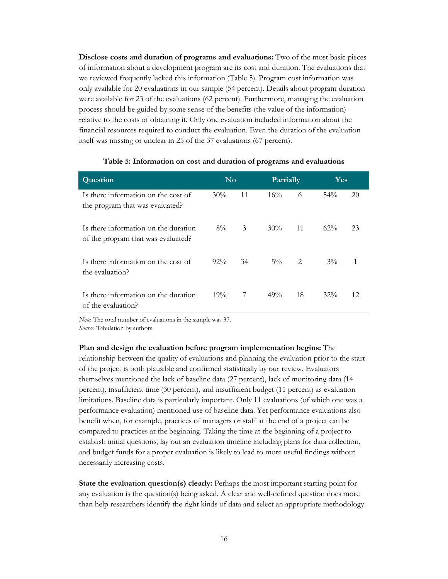**Disclose costs and duration of programs and evaluations:** Two of the most basic pieces of information about a development program are its cost and duration. The evaluations that we reviewed frequently lacked this information (Table 5). Program cost information was only available for 20 evaluations in our sample (54 percent). Details about program duration were available for 23 of the evaluations (62 percent). Furthermore, managing the evaluation process should be guided by some sense of the benefits (the value of the information) relative to the costs of obtaining it. Only one evaluation included information about the financial resources required to conduct the evaluation. Even the duration of the evaluation itself was missing or unclear in 25 of the 37 evaluations (67 percent).

| Question                                                                   | N <sub>o</sub> |    | <b>Partially</b> |     | Yes    |    |  |
|----------------------------------------------------------------------------|----------------|----|------------------|-----|--------|----|--|
| Is there information on the cost of<br>the program that was evaluated?     | 30%            | 11 | $16\%$           | 6   | $54\%$ | 20 |  |
| Is there information on the duration<br>of the program that was evaluated? | $8\%$          | 3  | $30\%$           | -11 | $62\%$ | 23 |  |
| Is there information on the cost of<br>the evaluation?                     | $92\%$         | 34 | $5\%$ 2          |     | $3\%$  | 1  |  |
| Is there information on the duration<br>of the evaluation?                 | 19%            | 7  | 49%              | 18  | $32\%$ | 12 |  |

#### **Table 5: Information on cost and duration of programs and evaluations**

*Note*: The total number of evaluations in the sample was 37.

*Source*: Tabulation by authors.

**Plan and design the evaluation before program implementation begins:** The relationship between the quality of evaluations and planning the evaluation prior to the start of the project is both plausible and confirmed statistically by our review. Evaluators themselves mentioned the lack of baseline data (27 percent), lack of monitoring data (14 percent), insufficient time (30 percent), and insufficient budget (11 percent) as evaluation limitations. Baseline data is particularly important. Only 11 evaluations (of which one was a performance evaluation) mentioned use of baseline data. Yet performance evaluations also benefit when, for example, practices of managers or staff at the end of a project can be compared to practices at the beginning. Taking the time at the beginning of a project to establish initial questions, lay out an evaluation timeline including plans for data collection, and budget funds for a proper evaluation is likely to lead to more useful findings without necessarily increasing costs.

**State the evaluation question(s) clearly:** Perhaps the most important starting point for any evaluation is the question(s) being asked. A clear and well-defined question does more than help researchers identify the right kinds of data and select an appropriate methodology.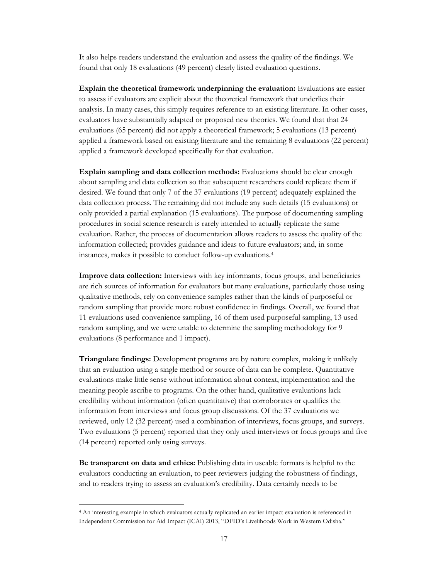It also helps readers understand the evaluation and assess the quality of the findings. We found that only 18 evaluations (49 percent) clearly listed evaluation questions.

**Explain the theoretical framework underpinning the evaluation:** Evaluations are easier to assess if evaluators are explicit about the theoretical framework that underlies their analysis. In many cases, this simply requires reference to an existing literature. In other cases, evaluators have substantially adapted or proposed new theories. We found that that 24 evaluations (65 percent) did not apply a theoretical framework; 5 evaluations (13 percent) applied a framework based on existing literature and the remaining 8 evaluations (22 percent) applied a framework developed specifically for that evaluation.

**Explain sampling and data collection methods:** Evaluations should be clear enough about sampling and data collection so that subsequent researchers could replicate them if desired. We found that only 7 of the 37 evaluations (19 percent) adequately explained the data collection process. The remaining did not include any such details (15 evaluations) or only provided a partial explanation (15 evaluations). The purpose of documenting sampling procedures in social science research is rarely intended to actually replicate the same evaluation. Rather, the process of documentation allows readers to assess the quality of the information collected; provides guidance and ideas to future evaluators; and, in some instances, makes it possible to conduct follow-up evaluations.[4](#page-19-0)

**Improve data collection:** Interviews with key informants, focus groups, and beneficiaries are rich sources of information for evaluators but many evaluations, particularly those using qualitative methods, rely on convenience samples rather than the kinds of purposeful or random sampling that provide more robust confidence in findings. Overall, we found that 11 evaluations used convenience sampling, 16 of them used purposeful sampling, 13 used random sampling, and we were unable to determine the sampling methodology for 9 evaluations (8 performance and 1 impact).

**Triangulate findings:** Development programs are by nature complex, making it unlikely that an evaluation using a single method or source of data can be complete. Quantitative evaluations make little sense without information about context, implementation and the meaning people ascribe to programs. On the other hand, qualitative evaluations lack credibility without information (often quantitative) that corroborates or qualifies the information from interviews and focus group discussions. Of the 37 evaluations we reviewed, only 12 (32 percent) used a combination of interviews, focus groups, and surveys. Two evaluations (5 percent) reported that they only used interviews or focus groups and five (14 percent) reported only using surveys.

**Be transparent on data and ethics:** Publishing data in useable formats is helpful to the evaluators conducting an evaluation, to peer reviewers judging the robustness of findings, and to readers trying to assess an evaluation's credibility. Data certainly needs to be

<span id="page-19-0"></span> <sup>4</sup> An interesting example in which evaluators actually replicated an earlier impact evaluation is referenced in Independent Commission for Aid Impact (ICAI) 2013, ["DFID's Livelihoods Work in Western Odisha."](https://icai.independent.gov.uk/wp-content/uploads/ICAI-Report-DFIDs-Livelihoods-Work-in-Western-Odisha.pdf)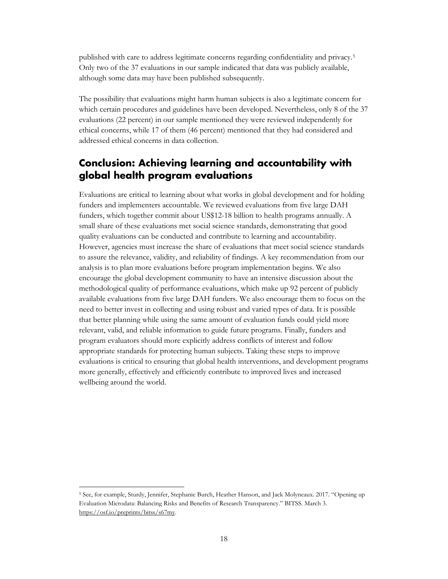published with care to address legitimate concerns regarding confidentiality and privacy.[5](#page-20-1) Only two of the 37 evaluations in our sample indicated that data was publicly available, although some data may have been published subsequently.

The possibility that evaluations might harm human subjects is also a legitimate concern for which certain procedures and guidelines have been developed. Nevertheless, only 8 of the 37 evaluations (22 percent) in our sample mentioned they were reviewed independently for ethical concerns, while 17 of them (46 percent) mentioned that they had considered and addressed ethical concerns in data collection.

## <span id="page-20-0"></span>**Conclusion: Achieving learning and accountability with global health program evaluations**

Evaluations are critical to learning about what works in global development and for holding funders and implementers accountable. We reviewed evaluations from five large DAH funders, which together commit about US\$12-18 billion to health programs annually. A small share of these evaluations met social science standards, demonstrating that good quality evaluations can be conducted and contribute to learning and accountability. However, agencies must increase the share of evaluations that meet social science standards to assure the relevance, validity, and reliability of findings. A key recommendation from our analysis is to plan more evaluations before program implementation begins. We also encourage the global development community to have an intensive discussion about the methodological quality of performance evaluations, which make up 92 percent of publicly available evaluations from five large DAH funders. We also encourage them to focus on the need to better invest in collecting and using robust and varied types of data. It is possible that better planning while using the same amount of evaluation funds could yield more relevant, valid, and reliable information to guide future programs. Finally, funders and program evaluators should more explicitly address conflicts of interest and follow appropriate standards for protecting human subjects. Taking these steps to improve evaluations is critical to ensuring that global health interventions, and development programs more generally, effectively and efficiently contribute to improved lives and increased wellbeing around the world.

<span id="page-20-1"></span> <sup>5</sup> See, for example, Sturdy, Jennifer, Stephanie Burch, Heather Hanson, and Jack Molyneaux. 2017. "Opening up Evaluation Microdata: Balancing Risks and Benefits of Research Transparency." BITSS. March 3. [https://osf.io/preprints/bitss/s67my.](https://osf.io/preprints/bitss/s67my)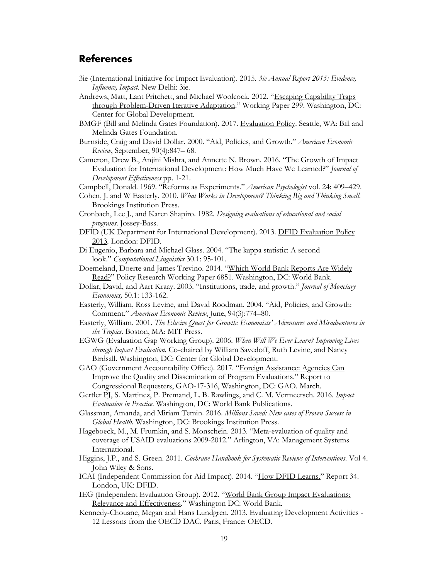## <span id="page-21-0"></span>**References**

- 3ie (International Initiative for Impact Evaluation). 2015. *3ie Annual Report 2015: Evidence, Influence, Impact*. New Delhi: 3ie.
- Andrews, Matt, Lant Pritchett, and Michael Woolcock. 2012. ["Escaping Capability Traps](http://www.cgdev.org/publication/escaping-capability-traps-through-problem-driven-iterative-adaptation-pdia-working-paper)  [through Problem-Driven Iterative Adaptation."](http://www.cgdev.org/publication/escaping-capability-traps-through-problem-driven-iterative-adaptation-pdia-working-paper) Working Paper 299. Washington, DC: Center for Global Development.
- BMGF (Bill and Melinda Gates Foundation). 2017. [Evaluation Policy.](http://www.gatesfoundation.org/How-We-Work/General-Information/Evaluation-Policy) Seattle, WA: Bill and Melinda Gates Foundation.
- Burnside, Craig and David Dollar. 2000. "Aid, Policies, and Growth." *American Economic Review*, September, 90(4):847– 68.
- Cameron, Drew B., Anjini Mishra, and Annette N. Brown. 2016. "The Growth of Impact Evaluation for International Development: How Much Have We Learned?" *Journal of Development Effectiveness* pp. 1-21.
- Campbell, Donald. 1969. "Reforms as Experiments." *American Psychologist* vol. 24: 409–429.
- Cohen, J. and W Easterly. 2010. *What Works in Development? Thinking Big and Thinking Small*. Brookings Institution Press.
- Cronbach, Lee J., and Karen Shapiro. 1982. *Designing evaluations of educational and social programs*. Jossey-Bass.
- DFID (UK Department for International Development). 2013. [DFID Evaluation Policy](https://www.gov.uk/government/publications/dfid-evaluation-policy-2013)  [2013](https://www.gov.uk/government/publications/dfid-evaluation-policy-2013)*.* London: DFID.
- Di Eugenio, Barbara and Michael Glass. 2004. "The kappa statistic: A second look." *Computational Linguistics* 30.1: 95-101.
- Doemeland, Doerte and James Trevino. 2014. ["Which World Bank Reports Are Widely](https://openknowledge.worldbank.org/bitstream/handle/10986/18346/WPS6851.pdf)  [Read?"](https://openknowledge.worldbank.org/bitstream/handle/10986/18346/WPS6851.pdf) Policy Research Working Paper 6851. Washington, DC: World Bank.
- Dollar, David, and Aart Kraay. 2003. "Institutions, trade, and growth." *Journal of Monetary Economics,* 50.1: 133-162.
- Easterly, William, Ross Levine, and David Roodman. 2004. "Aid, Policies, and Growth: Comment." *American Economic Review*, June, 94(3):774–80.
- Easterly, William. 2001. *The Elusive Quest for Growth: Economists' Adventures and Misadventures in the Tropics*. Boston, MA: MIT Press.
- EGWG (Evaluation Gap Working Group). 2006. *When Will We Ever Learn? Improving Lives through Impact Evaluation.* Co-chaired by William Savedoff, Ruth Levine, and Nancy Birdsall. Washington, DC: Center for Global Development.
- GAO (Government Accountability Office). 2017. ["Foreign Assistance: Agencies Can](http://www.gao.gov/assets/690/683157.pdf)  [Improve the Quality and Dissemination of Program Evaluations."](http://www.gao.gov/assets/690/683157.pdf) Report to Congressional Requesters, GAO-17-316, Washington, DC: GAO. March.
- Gertler PJ, S. Martinez, P. Premand, L. B. Rawlings, and C. M. Vermeersch. 2016. *Impact Evaluation in Practice*. Washington, DC: World Bank Publications.
- Glassman, Amanda, and Miriam Temin. 2016. *Millions Saved: New cases of Proven Success in Global Health*. Washington, DC: Brookings Institution Press.
- Hageboeck, M., M. Frumkin, and S. Monschein. 2013. "Meta-evaluation of quality and coverage of USAID evaluations 2009-2012." Arlington, VA: Management Systems International.
- Higgins, J.P., and S. Green. 2011. *Cochrane Handbook for Systematic Reviews of Interventions*. Vol 4. John Wiley & Sons.
- ICAI (Independent Commission for Aid Impact). 2014. ["How DFID Learns."](http://icai.independent.gov.uk/wp-content/uploads/How-DFID-Learns-FINAL.pdf) Report 34. London, UK: DFID.
- IEG (Independent Evaluation Group). 2012. ["World Bank Group Impact Evaluations:](http://ieg.worldbank.org/Data/reports/impact_eval_report.pdf)  [Relevance and Effectiveness.](http://ieg.worldbank.org/Data/reports/impact_eval_report.pdf)" Washington DC: World Bank.
- Kennedy-Chouane, Megan and Hans Lundgren. 2013. [Evaluating Development Activities](http://www.oecd.org/dac/peer-reviews/12%20Less%20eval%20web%20pdf.pdf) 12 Lessons from the OECD DAC. Paris, France: OECD.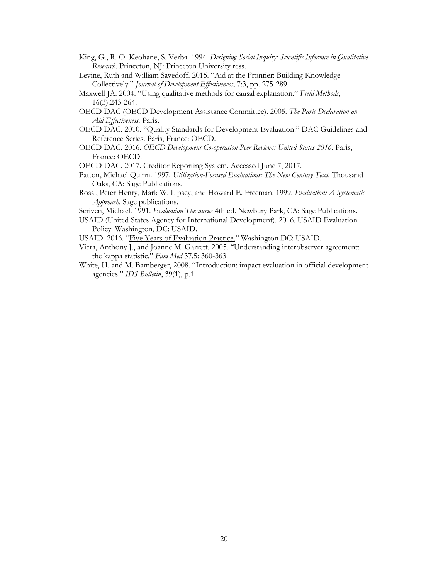- King, G., R. O. Keohane, S. Verba. 1994. *Designing Social Inquiry: Scientific Inference in Qualitative Research*. Princeton, NJ: Princeton University ress.
- Levine, Ruth and William Savedoff. 2015. "Aid at the Frontier: Building Knowledge Collectively." *Journal of Development Effectiveness*, 7:3, pp. 275-289.
- Maxwell JA. 2004. "Using qualitative methods for causal explanation." *Field Methods*, 16(3):243-264.
- OECD DAC (OECD Development Assistance Committee). 2005. *The Paris Declaration on Aid Effectiveness.* Paris.
- OECD DAC. 2010. "Quality Standards for Development Evaluation." DAC Guidelines and Reference Series. Paris, France: OECD.
- OECD DAC. 2016. *[OECD Development Co-operation Peer Reviews: United States 2016](http://www.oecd-ilibrary.org/development/oecd-development-co-operation-peer-reviews-united-states-2016_9789264266971-en)*. Paris, France: OECD.
- OECD DAC. 2017. [Creditor Reporting System.](https://stats.oecd.org/Index.aspx?DataSetCode=CRS1) Accessed June 7, 2017.
- Patton, Michael Quinn. 1997. *Utilization-Focused Evaluations: The New Century Text.* Thousand Oaks, CA: Sage Publications.
- Rossi, Peter Henry, Mark W. Lipsey, and Howard E. Freeman. 1999. *Evaluation: A Systematic Approach*. Sage publications.

Scriven, Michael. 1991. *Evaluation Thesaurus* 4th ed. Newbury Park, CA: Sage Publications.

- USAID (United States Agency for International Development). 2016[. USAID Evaluation](https://www.usaid.gov/sites/default/files/documents/1870/USAIDEvaluationPolicy.pdf) [Policy.](https://www.usaid.gov/sites/default/files/documents/1870/USAIDEvaluationPolicy.pdf) Washington, DC: USAID.
- USAID. 2016. ["Five Years of Evaluation Practice."](https://www.usaid.gov/sites/default/files/documents/1870/Strengthening%20Evidence-Based%20Development%20-%20Five%20Years%20of%20Better%20Evaluation%20Practice%20at%20USAID.pdf) Washington DC: USAID.
- Viera, Anthony J., and Joanne M. Garrett. 2005. "Understanding interobserver agreement: the kappa statistic." *Fam Med* 37.5: 360-363.
- White, H. and M. Bamberger, 2008. "Introduction: impact evaluation in official development agencies." *IDS Bulletin*, 39(1), p.1.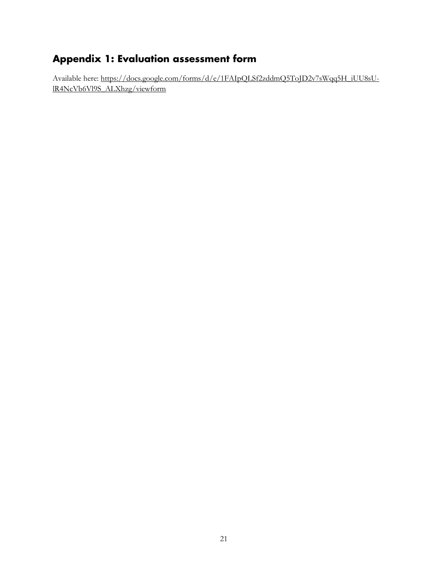## <span id="page-23-0"></span>**Appendix 1: Evaluation assessment form**

Available here: [https://docs.google.com/forms/d/e/1FAIpQLSf2zddmQ5ToJD2v7sWqq5H\\_iUU8sU](https://docs.google.com/forms/d/e/1FAIpQLSf2zddmQ5ToJD2v7sWqq5H_iUU8sU-lR4NcVb6Vl9S_ALXhzg/viewform)[lR4NcVb6Vl9S\\_ALXhzg/viewform](https://docs.google.com/forms/d/e/1FAIpQLSf2zddmQ5ToJD2v7sWqq5H_iUU8sU-lR4NcVb6Vl9S_ALXhzg/viewform)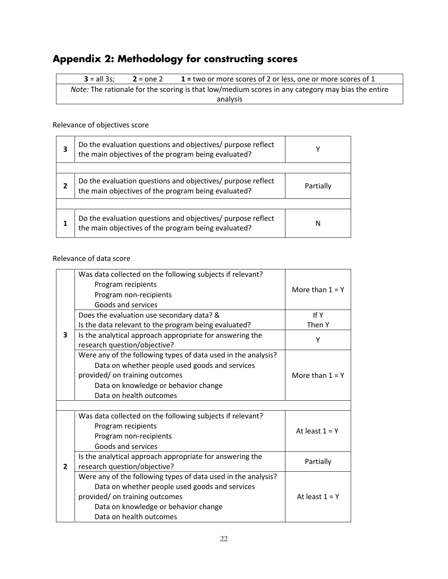# <span id="page-24-0"></span>**Appendix 2: Methodology for constructing scores**

**3** = all 3s; **2** = one 2 **1 =** two or more scores of 2 or less, one or more scores of 1 *Note:* The rationale for the scoring is that low/medium scores in any category may bias the entire analysis

#### Relevance of objectives score

| Do the evaluation questions and objectives/ purpose reflect<br>the main objectives of the program being evaluated? | γ         |
|--------------------------------------------------------------------------------------------------------------------|-----------|
|                                                                                                                    |           |
| Do the evaluation questions and objectives/ purpose reflect<br>the main objectives of the program being evaluated? | Partially |
|                                                                                                                    |           |
| Do the evaluation questions and objectives/ purpose reflect<br>the main objectives of the program being evaluated? | N         |

Relevance of data score

|                | Was data collected on the following subjects if relevant?<br>Program recipients<br>Program non-recipients<br>Goods and services | More than $1 = Y$ |  |
|----------------|---------------------------------------------------------------------------------------------------------------------------------|-------------------|--|
|                | Does the evaluation use secondary data? &                                                                                       | If Y              |  |
|                | Is the data relevant to the program being evaluated?                                                                            | Then Y            |  |
| 3              | Is the analytical approach appropriate for answering the<br>research question/objective?                                        | Υ                 |  |
|                | Were any of the following types of data used in the analysis?                                                                   |                   |  |
|                | Data on whether people used goods and services                                                                                  |                   |  |
|                | provided/ on training outcomes                                                                                                  | More than $1 = Y$ |  |
|                | Data on knowledge or behavior change                                                                                            |                   |  |
|                | Data on health outcomes                                                                                                         |                   |  |
|                |                                                                                                                                 |                   |  |
|                | Was data collected on the following subjects if relevant?                                                                       |                   |  |
|                | Program recipients                                                                                                              | At least $1 = Y$  |  |
|                | Program non-recipients                                                                                                          |                   |  |
|                | Goods and services                                                                                                              |                   |  |
|                | Is the analytical approach appropriate for answering the                                                                        | Partially         |  |
| $\overline{2}$ | research question/objective?                                                                                                    |                   |  |
|                | Were any of the following types of data used in the analysis?                                                                   |                   |  |
|                | Data on whether people used goods and services                                                                                  |                   |  |
|                | provided/ on training outcomes                                                                                                  | At least $1 = Y$  |  |
|                | Data on knowledge or behavior change                                                                                            |                   |  |
|                | Data on health outcomes                                                                                                         |                   |  |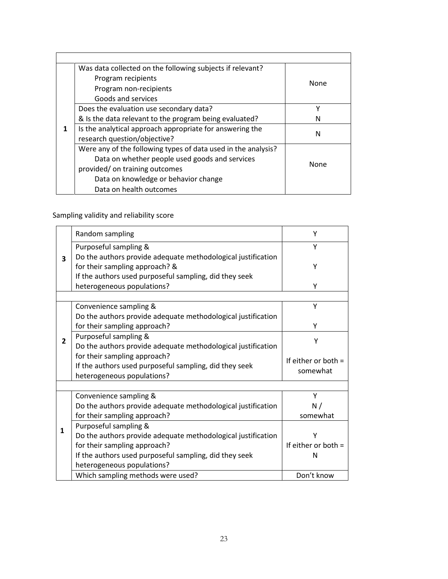| Was data collected on the following subjects if relevant?     |             |
|---------------------------------------------------------------|-------------|
| Program recipients                                            | <b>None</b> |
| Program non-recipients                                        |             |
| Goods and services                                            |             |
| Does the evaluation use secondary data?                       | v           |
| & Is the data relevant to the program being evaluated?        | N           |
| Is the analytical approach appropriate for answering the      | N           |
| research question/objective?                                  |             |
| Were any of the following types of data used in the analysis? |             |
| Data on whether people used goods and services                | None        |
| provided/ on training outcomes                                |             |
| Data on knowledge or behavior change                          |             |
| Data on health outcomes                                       |             |

Sampling validity and reliability score

|                | Random sampling                                                                                                                                                                        | Υ                                 |
|----------------|----------------------------------------------------------------------------------------------------------------------------------------------------------------------------------------|-----------------------------------|
|                | Purposeful sampling &                                                                                                                                                                  | Υ                                 |
| 3              | Do the authors provide adequate methodological justification<br>for their sampling approach? &<br>If the authors used purposeful sampling, did they seek<br>heterogeneous populations? | Υ<br>Y                            |
|                |                                                                                                                                                                                        |                                   |
|                | Convenience sampling &                                                                                                                                                                 | Υ                                 |
|                | Do the authors provide adequate methodological justification<br>for their sampling approach?                                                                                           | Y                                 |
| $\overline{2}$ | Purposeful sampling &<br>Do the authors provide adequate methodological justification                                                                                                  | Υ                                 |
|                | for their sampling approach?<br>If the authors used purposeful sampling, did they seek<br>heterogeneous populations?                                                                   | If either or both $=$<br>somewhat |
|                |                                                                                                                                                                                        |                                   |
|                | Convenience sampling &                                                                                                                                                                 | Υ                                 |
|                | Do the authors provide adequate methodological justification                                                                                                                           | N/                                |
|                | for their sampling approach?                                                                                                                                                           | somewhat                          |
| $\mathbf{1}$   | Purposeful sampling &                                                                                                                                                                  |                                   |
|                | Do the authors provide adequate methodological justification                                                                                                                           | Υ                                 |
|                | for their sampling approach?                                                                                                                                                           | If either or both $=$             |
|                | If the authors used purposeful sampling, did they seek                                                                                                                                 | N                                 |
|                | heterogeneous populations?                                                                                                                                                             |                                   |
|                | Which sampling methods were used?                                                                                                                                                      | Don't know                        |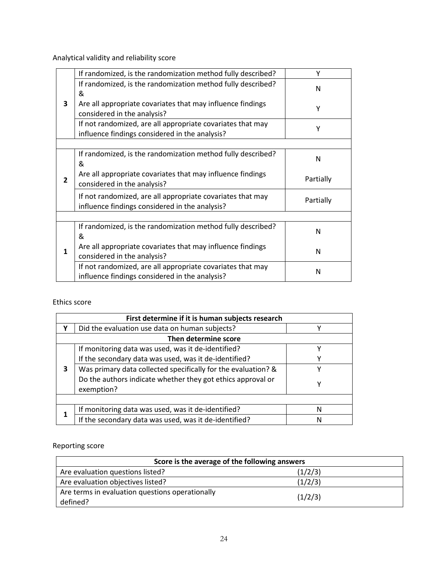Analytical validity and reliability score

|                | If randomized, is the randomization method fully described?                                                  | Υ         |
|----------------|--------------------------------------------------------------------------------------------------------------|-----------|
|                | If randomized, is the randomization method fully described?                                                  | N         |
|                | &                                                                                                            |           |
| 3              | Are all appropriate covariates that may influence findings                                                   | Υ         |
|                | considered in the analysis?                                                                                  |           |
|                | If not randomized, are all appropriate covariates that may                                                   | Υ         |
|                | influence findings considered in the analysis?                                                               |           |
|                |                                                                                                              |           |
|                | If randomized, is the randomization method fully described?                                                  | N         |
|                | &                                                                                                            |           |
| $\overline{2}$ | Are all appropriate covariates that may influence findings<br>considered in the analysis?                    | Partially |
|                | If not randomized, are all appropriate covariates that may<br>influence findings considered in the analysis? | Partially |
|                |                                                                                                              |           |
|                | If randomized, is the randomization method fully described?                                                  | N         |
|                | &                                                                                                            |           |
| 1              | Are all appropriate covariates that may influence findings                                                   | N         |
|                | considered in the analysis?                                                                                  |           |
|                | If not randomized, are all appropriate covariates that may                                                   | N         |
|                | influence findings considered in the analysis?                                                               |           |

#### Ethics score

| First determine if it is human subjects research |                                                                           |   |  |  |
|--------------------------------------------------|---------------------------------------------------------------------------|---|--|--|
| v                                                | Did the evaluation use data on human subjects?                            | v |  |  |
|                                                  | Then determine score                                                      |   |  |  |
|                                                  | If monitoring data was used, was it de-identified?                        | v |  |  |
|                                                  | If the secondary data was used, was it de-identified?                     | v |  |  |
| 3                                                | Was primary data collected specifically for the evaluation? &             | γ |  |  |
|                                                  | Do the authors indicate whether they got ethics approval or<br>exemption? | Υ |  |  |
|                                                  |                                                                           |   |  |  |
|                                                  | If monitoring data was used, was it de-identified?                        | N |  |  |
|                                                  | If the secondary data was used, was it de-identified?                     | N |  |  |

Reporting score

| Score is the average of the following answers               |         |  |  |
|-------------------------------------------------------------|---------|--|--|
| Are evaluation questions listed?                            | (1/2/3) |  |  |
| Are evaluation objectives listed?                           | (1/2/3) |  |  |
| Are terms in evaluation questions operationally<br>defined? | (1/2/3) |  |  |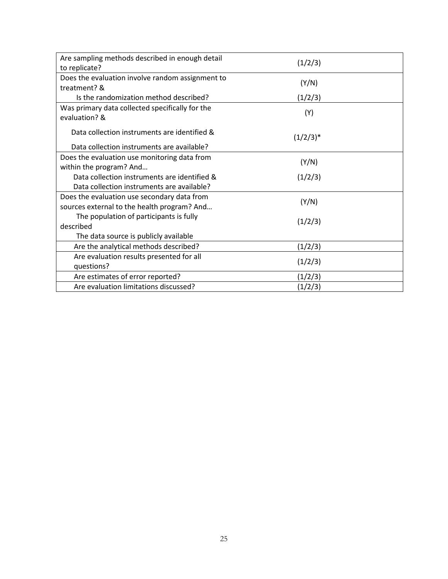| Are sampling methods described in enough detail  | (1/2/3)     |  |
|--------------------------------------------------|-------------|--|
| to replicate?                                    |             |  |
| Does the evaluation involve random assignment to |             |  |
| treatment? &                                     | (Y/N)       |  |
| Is the randomization method described?           | (1/2/3)     |  |
| Was primary data collected specifically for the  |             |  |
| evaluation? &                                    | (Y)         |  |
| Data collection instruments are identified &     |             |  |
|                                                  | $(1/2/3)^*$ |  |
| Data collection instruments are available?       |             |  |
| Does the evaluation use monitoring data from     | (Y/N)       |  |
| within the program? And                          |             |  |
| Data collection instruments are identified &     | (1/2/3)     |  |
| Data collection instruments are available?       |             |  |
| Does the evaluation use secondary data from      |             |  |
| sources external to the health program? And      | (Y/N)       |  |
| The population of participants is fully          |             |  |
| described                                        | (1/2/3)     |  |
| The data source is publicly available            |             |  |
| Are the analytical methods described?            | (1/2/3)     |  |
| Are evaluation results presented for all         |             |  |
| questions?                                       | (1/2/3)     |  |
| Are estimates of error reported?                 | (1/2/3)     |  |
| Are evaluation limitations discussed?            | (1/2/3)     |  |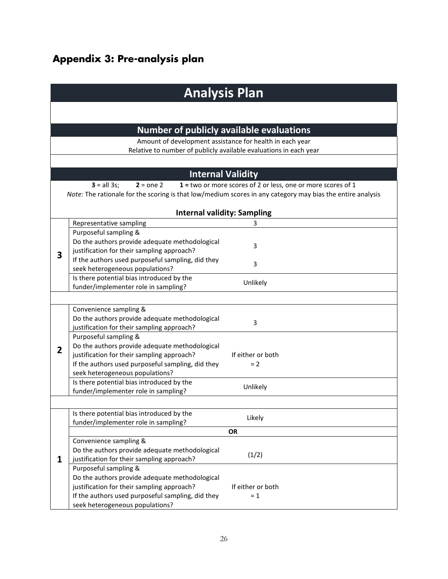# <span id="page-28-0"></span>**Appendix 3: Pre-analysis plan**

| <b>Analysis Plan</b> |                                                                                                            |                                                              |  |  |
|----------------------|------------------------------------------------------------------------------------------------------------|--------------------------------------------------------------|--|--|
|                      |                                                                                                            |                                                              |  |  |
|                      | <b>Number of publicly available evaluations</b>                                                            |                                                              |  |  |
|                      | Amount of development assistance for health in each year                                                   |                                                              |  |  |
|                      | Relative to number of publicly available evaluations in each year                                          |                                                              |  |  |
|                      |                                                                                                            |                                                              |  |  |
|                      | <b>Internal Validity</b>                                                                                   |                                                              |  |  |
|                      | $3 = all 3s;$<br>$2 = one 2$                                                                               | 1 = two or more scores of 2 or less, one or more scores of 1 |  |  |
|                      | Note: The rationale for the scoring is that low/medium scores in any category may bias the entire analysis |                                                              |  |  |
|                      |                                                                                                            |                                                              |  |  |
|                      | <b>Internal validity: Sampling</b>                                                                         |                                                              |  |  |
|                      | Representative sampling                                                                                    | 3                                                            |  |  |
|                      | Purposeful sampling &                                                                                      |                                                              |  |  |
|                      | Do the authors provide adequate methodological                                                             | 3                                                            |  |  |
| 3                    | justification for their sampling approach?                                                                 |                                                              |  |  |
|                      | If the authors used purposeful sampling, did they                                                          | 3                                                            |  |  |
|                      | seek heterogeneous populations?                                                                            |                                                              |  |  |
|                      | Is there potential bias introduced by the                                                                  | Unlikely                                                     |  |  |
|                      | funder/implementer role in sampling?                                                                       |                                                              |  |  |
|                      |                                                                                                            |                                                              |  |  |
|                      | Convenience sampling &                                                                                     |                                                              |  |  |
|                      | Do the authors provide adequate methodological                                                             | 3                                                            |  |  |
|                      | justification for their sampling approach?                                                                 |                                                              |  |  |
|                      | Purposeful sampling &                                                                                      |                                                              |  |  |
| 2                    | Do the authors provide adequate methodological<br>justification for their sampling approach?               | If either or both                                            |  |  |
|                      | If the authors used purposeful sampling, did they                                                          | $= 2$                                                        |  |  |
|                      | seek heterogeneous populations?                                                                            |                                                              |  |  |
|                      | Is there potential bias introduced by the                                                                  |                                                              |  |  |
|                      | funder/implementer role in sampling?                                                                       | Unlikely                                                     |  |  |
|                      |                                                                                                            |                                                              |  |  |
|                      | Is there potential bias introduced by the                                                                  |                                                              |  |  |
|                      | funder/implementer role in sampling?                                                                       | Likely                                                       |  |  |
|                      |                                                                                                            | <b>OR</b>                                                    |  |  |
|                      | Convenience sampling &                                                                                     |                                                              |  |  |
|                      | Do the authors provide adequate methodological                                                             | (1/2)                                                        |  |  |
| 1                    | justification for their sampling approach?                                                                 |                                                              |  |  |
|                      | Purposeful sampling &                                                                                      |                                                              |  |  |
|                      | Do the authors provide adequate methodological                                                             |                                                              |  |  |
|                      | justification for their sampling approach?                                                                 | If either or both                                            |  |  |
|                      | If the authors used purposeful sampling, did they                                                          | $= 1$                                                        |  |  |
|                      | seek heterogeneous populations?                                                                            |                                                              |  |  |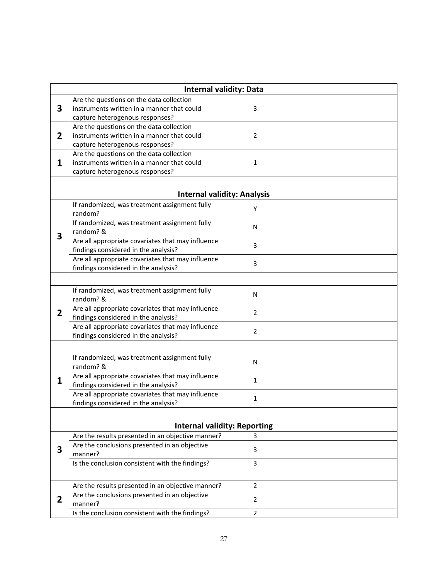|                | <b>Internal validity: Data</b>                                                            |                |  |  |
|----------------|-------------------------------------------------------------------------------------------|----------------|--|--|
|                | Are the questions on the data collection                                                  |                |  |  |
| 3              | instruments written in a manner that could                                                | 3              |  |  |
|                | capture heterogenous responses?                                                           |                |  |  |
|                | Are the questions on the data collection                                                  |                |  |  |
| 2              | instruments written in a manner that could                                                | $\overline{2}$ |  |  |
|                | capture heterogenous responses?                                                           |                |  |  |
|                | Are the questions on the data collection                                                  |                |  |  |
| 1              | instruments written in a manner that could                                                | 1              |  |  |
|                | capture heterogenous responses?                                                           |                |  |  |
|                |                                                                                           |                |  |  |
|                | <b>Internal validity: Analysis</b>                                                        |                |  |  |
|                | If randomized, was treatment assignment fully                                             | Υ              |  |  |
|                | random?                                                                                   |                |  |  |
|                | If randomized, was treatment assignment fully                                             | N              |  |  |
| 3              | random? &                                                                                 |                |  |  |
|                | Are all appropriate covariates that may influence                                         | 3              |  |  |
|                | findings considered in the analysis?                                                      |                |  |  |
|                | Are all appropriate covariates that may influence                                         | 3              |  |  |
|                | findings considered in the analysis?                                                      |                |  |  |
|                |                                                                                           |                |  |  |
|                | If randomized, was treatment assignment fully                                             | N              |  |  |
|                | random? &                                                                                 |                |  |  |
| $\overline{2}$ | Are all appropriate covariates that may influence                                         | $\overline{2}$ |  |  |
|                | findings considered in the analysis?<br>Are all appropriate covariates that may influence |                |  |  |
|                | findings considered in the analysis?                                                      | $\overline{2}$ |  |  |
|                |                                                                                           |                |  |  |
|                |                                                                                           |                |  |  |
|                | If randomized, was treatment assignment fully<br>random? &                                | N              |  |  |
|                | Are all appropriate covariates that may influence                                         |                |  |  |
| 1              | findings considered in the analysis?                                                      | 1              |  |  |
|                | Are all appropriate covariates that may influence                                         |                |  |  |
|                | findings considered in the analysis?                                                      | 1              |  |  |
|                |                                                                                           |                |  |  |
|                | <b>Internal validity: Reporting</b>                                                       |                |  |  |
|                | Are the results presented in an objective manner?                                         | 3              |  |  |
|                | Are the conclusions presented in an objective                                             |                |  |  |
| 3              | manner?                                                                                   | 3              |  |  |
|                | Is the conclusion consistent with the findings?                                           | 3              |  |  |
|                |                                                                                           |                |  |  |
|                | Are the results presented in an objective manner?                                         | $\overline{2}$ |  |  |
|                | Are the conclusions presented in an objective                                             |                |  |  |
| 2              | manner?                                                                                   | $\overline{2}$ |  |  |
|                | Is the conclusion consistent with the findings?                                           | $\overline{2}$ |  |  |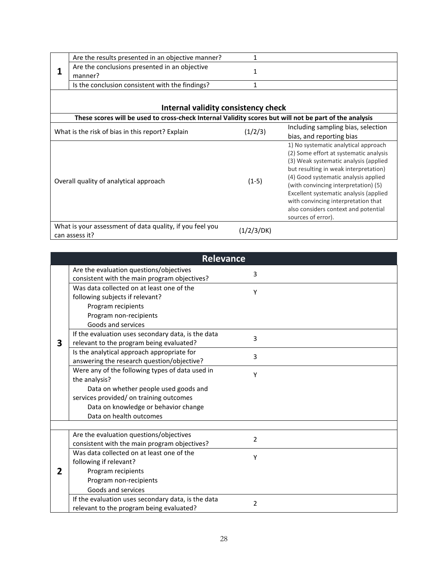|  | Are the results presented in an objective manner?                                                      | 1            |                                                                                 |
|--|--------------------------------------------------------------------------------------------------------|--------------|---------------------------------------------------------------------------------|
|  | Are the conclusions presented in an objective                                                          | $\mathbf{1}$ |                                                                                 |
|  | manner?                                                                                                |              |                                                                                 |
|  | Is the conclusion consistent with the findings?                                                        | 1            |                                                                                 |
|  |                                                                                                        |              |                                                                                 |
|  | Internal validity consistency check                                                                    |              |                                                                                 |
|  | These scores will be used to cross-check Internal Validity scores but will not be part of the analysis |              |                                                                                 |
|  | What is the risk of bias in this report? Explain                                                       | (1/2/3)      | Including sampling bias, selection                                              |
|  |                                                                                                        |              | bias, and reporting bias                                                        |
|  |                                                                                                        |              | 1) No systematic analytical approach                                            |
|  |                                                                                                        |              | (2) Some effort at systematic analysis<br>(3) Weak systematic analysis (applied |
|  |                                                                                                        |              | but resulting in weak interpretation)                                           |
|  |                                                                                                        |              | (4) Good systematic analysis applied                                            |
|  | Overall quality of analytical approach                                                                 | $(1-5)$      | (with convincing interpretation) (5)                                            |
|  |                                                                                                        |              | Excellent systematic analysis (applied                                          |
|  |                                                                                                        |              | with convincing interpretation that                                             |
|  |                                                                                                        |              | also considers context and potential                                            |
|  |                                                                                                        |              | sources of error).                                                              |
|  | What is your assessment of data quality, if you feel you                                               | (1/2/3/DK)   |                                                                                 |
|  | can assess it?                                                                                         |              |                                                                                 |

|   | <b>Relevance</b>                                   |                |  |
|---|----------------------------------------------------|----------------|--|
|   | Are the evaluation questions/objectives            | 3              |  |
|   | consistent with the main program objectives?       |                |  |
|   | Was data collected on at least one of the          | Υ              |  |
|   | following subjects if relevant?                    |                |  |
|   | Program recipients                                 |                |  |
|   | Program non-recipients                             |                |  |
|   | Goods and services                                 |                |  |
|   | If the evaluation uses secondary data, is the data | 3              |  |
| 3 | relevant to the program being evaluated?           |                |  |
|   | Is the analytical approach appropriate for         | 3              |  |
|   | answering the research question/objective?         |                |  |
|   | Were any of the following types of data used in    | Υ              |  |
|   | the analysis?                                      |                |  |
|   | Data on whether people used goods and              |                |  |
|   | services provided/ on training outcomes            |                |  |
|   | Data on knowledge or behavior change               |                |  |
|   | Data on health outcomes                            |                |  |
|   |                                                    |                |  |
|   | Are the evaluation questions/objectives            | $\overline{2}$ |  |
|   | consistent with the main program objectives?       |                |  |
|   | Was data collected on at least one of the          | Υ              |  |
|   | following if relevant?                             |                |  |
| 2 | Program recipients                                 |                |  |
|   | Program non-recipients                             |                |  |
|   | Goods and services                                 |                |  |
|   | If the evaluation uses secondary data, is the data | 2              |  |
|   | relevant to the program being evaluated?           |                |  |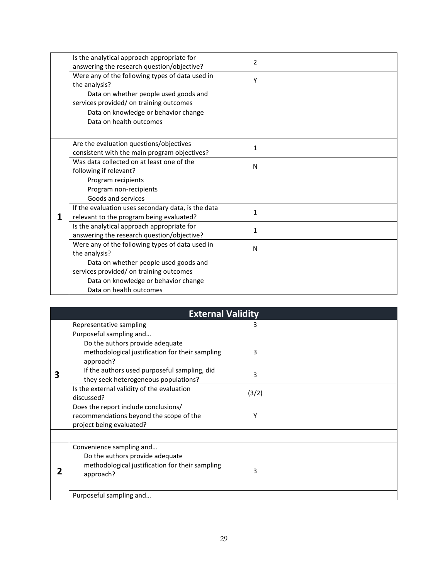|   | Is the analytical approach appropriate for         | $\overline{2}$ |  |
|---|----------------------------------------------------|----------------|--|
|   | answering the research question/objective?         |                |  |
|   | Were any of the following types of data used in    | Υ              |  |
|   | the analysis?                                      |                |  |
|   | Data on whether people used goods and              |                |  |
|   | services provided/ on training outcomes            |                |  |
|   | Data on knowledge or behavior change               |                |  |
|   | Data on health outcomes                            |                |  |
|   |                                                    |                |  |
|   | Are the evaluation questions/objectives            | 1              |  |
|   | consistent with the main program objectives?       |                |  |
|   | Was data collected on at least one of the          | N              |  |
|   | following if relevant?                             |                |  |
|   | Program recipients                                 |                |  |
|   | Program non-recipients                             |                |  |
|   | Goods and services                                 |                |  |
|   | If the evaluation uses secondary data, is the data | $\mathbf{1}$   |  |
| 1 | relevant to the program being evaluated?           |                |  |
|   | Is the analytical approach appropriate for         | 1              |  |
|   | answering the research question/objective?         |                |  |
|   | Were any of the following types of data used in    | N              |  |
|   | the analysis?                                      |                |  |
|   | Data on whether people used goods and              |                |  |
|   | services provided/ on training outcomes            |                |  |
|   | Data on knowledge or behavior change               |                |  |
|   | Data on health outcomes                            |                |  |

|   | <b>External Validity</b>                                                                                    |       |  |
|---|-------------------------------------------------------------------------------------------------------------|-------|--|
|   | Representative sampling                                                                                     | 3     |  |
|   | Purposeful sampling and                                                                                     |       |  |
|   | Do the authors provide adequate                                                                             |       |  |
|   | methodological justification for their sampling                                                             | 3     |  |
|   | approach?                                                                                                   |       |  |
| 3 | If the authors used purposeful sampling, did<br>they seek heterogeneous populations?                        | 3     |  |
|   | Is the external validity of the evaluation<br>discussed?                                                    | (3/2) |  |
|   | Does the report include conclusions/<br>recommendations beyond the scope of the<br>project being evaluated? | Υ     |  |
|   | Convenience sampling and                                                                                    |       |  |
|   | Do the authors provide adequate<br>methodological justification for their sampling<br>approach?             | 3     |  |
|   | Purposeful sampling and                                                                                     |       |  |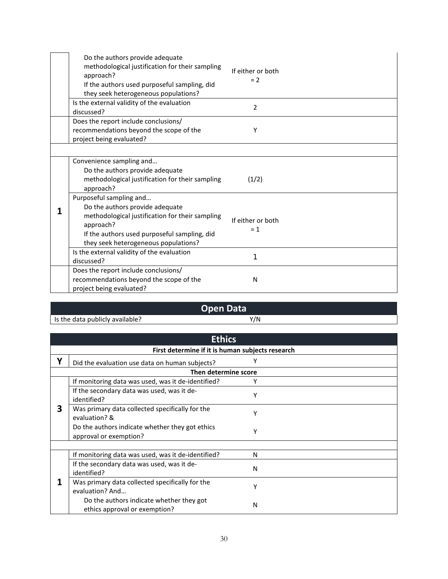| Do the authors provide adequate<br>methodological justification for their sampling<br>approach?<br>If the authors used purposeful sampling, did<br>they seek heterogeneous populations?                            | If either or both<br>$= 2$ |  |
|--------------------------------------------------------------------------------------------------------------------------------------------------------------------------------------------------------------------|----------------------------|--|
| Is the external validity of the evaluation<br>discussed?                                                                                                                                                           | $\overline{2}$             |  |
| Does the report include conclusions/<br>recommendations beyond the scope of the<br>project being evaluated?                                                                                                        | Υ                          |  |
| Convenience sampling and<br>Do the authors provide adequate<br>methodological justification for their sampling<br>approach?                                                                                        | (1/2)                      |  |
| Purposeful sampling and<br>Do the authors provide adequate<br>methodological justification for their sampling<br>approach?<br>If the authors used purposeful sampling, did<br>they seek heterogeneous populations? | If either or both<br>$= 1$ |  |
| Is the external validity of the evaluation<br>discussed?                                                                                                                                                           | 1                          |  |
| Does the report include conclusions/<br>recommendations beyond the scope of the<br>project being evaluated?                                                                                                        | N                          |  |

|                                 | <b>Open Data</b> |  |
|---------------------------------|------------------|--|
| Is the data publicly available? | $^{\prime}/N$    |  |

|   | <b>Ethics</b>                                                             |   |  |  |
|---|---------------------------------------------------------------------------|---|--|--|
|   | First determine if it is human subjects research                          |   |  |  |
| v | Did the evaluation use data on human subjects?                            |   |  |  |
|   | Then determine score                                                      |   |  |  |
|   | If monitoring data was used, was it de-identified?                        |   |  |  |
|   | If the secondary data was used, was it de-<br>identified?                 | Υ |  |  |
| 3 | Was primary data collected specifically for the<br>evaluation? &          | γ |  |  |
|   | Do the authors indicate whether they got ethics<br>approval or exemption? | Υ |  |  |
|   |                                                                           |   |  |  |
|   | If monitoring data was used, was it de-identified?                        | N |  |  |
|   | If the secondary data was used, was it de-<br>identified?                 | N |  |  |
|   | Was primary data collected specifically for the<br>evaluation? And        | γ |  |  |
|   | Do the authors indicate whether they got<br>ethics approval or exemption? | N |  |  |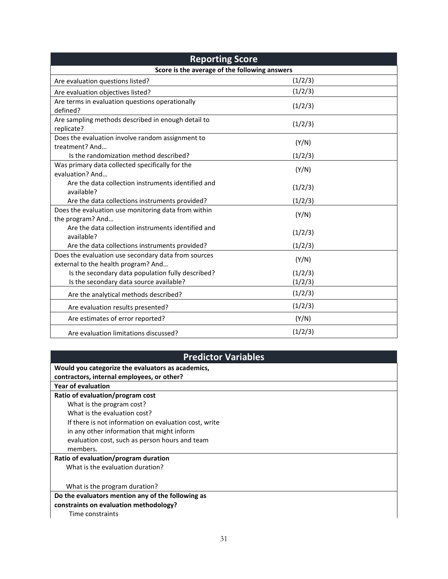| <b>Reporting Score</b>                                                                     |         |  |  |  |
|--------------------------------------------------------------------------------------------|---------|--|--|--|
| Score is the average of the following answers                                              |         |  |  |  |
| Are evaluation questions listed?                                                           | (1/2/3) |  |  |  |
| Are evaluation objectives listed?                                                          | (1/2/3) |  |  |  |
| Are terms in evaluation questions operationally<br>defined?                                | (1/2/3) |  |  |  |
| Are sampling methods described in enough detail to<br>replicate?                           | (1/2/3) |  |  |  |
| Does the evaluation involve random assignment to<br>treatment? And                         | (Y/N)   |  |  |  |
| Is the randomization method described?                                                     | (1/2/3) |  |  |  |
| Was primary data collected specifically for the<br>evaluation? And                         | (Y/N)   |  |  |  |
| Are the data collection instruments identified and<br>available?                           | (1/2/3) |  |  |  |
| Are the data collections instruments provided?                                             | (1/2/3) |  |  |  |
| Does the evaluation use monitoring data from within<br>the program? And                    | (Y/N)   |  |  |  |
| Are the data collection instruments identified and<br>available?                           | (1/2/3) |  |  |  |
| Are the data collections instruments provided?                                             | (1/2/3) |  |  |  |
| Does the evaluation use secondary data from sources<br>external to the health program? And | (Y/N)   |  |  |  |
| Is the secondary data population fully described?                                          | (1/2/3) |  |  |  |
| Is the secondary data source available?                                                    | (1/2/3) |  |  |  |
| Are the analytical methods described?                                                      | (1/2/3) |  |  |  |
| Are evaluation results presented?                                                          | (1/2/3) |  |  |  |
| Are estimates of error reported?                                                           | (Y/N)   |  |  |  |
| Are evaluation limitations discussed?                                                      | (1/2/3) |  |  |  |

## **Predictor Variables**

| Would you categorize the evaluators as academics,     |  |
|-------------------------------------------------------|--|
| contractors, internal employees, or other?            |  |
| <b>Year of evaluation</b>                             |  |
| Ratio of evaluation/program cost                      |  |
| What is the program cost?                             |  |
| What is the evaluation cost?                          |  |
| If there is not information on evaluation cost, write |  |
| in any other information that might inform            |  |
| evaluation cost, such as person hours and team        |  |
| members.                                              |  |
| Ratio of evaluation/program duration                  |  |
| What is the evaluation duration?                      |  |
|                                                       |  |
| What is the program duration?                         |  |
| Do the evaluators mention any of the following as     |  |
| constraints on evaluation methodology?                |  |
| Time constraints                                      |  |
|                                                       |  |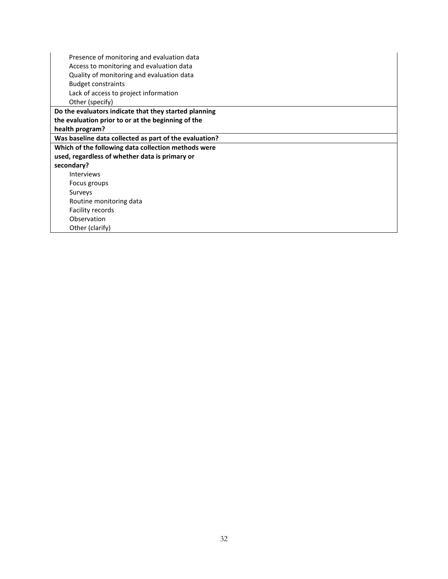| Presence of monitoring and evaluation data             |
|--------------------------------------------------------|
| Access to monitoring and evaluation data               |
| Quality of monitoring and evaluation data              |
| <b>Budget constraints</b>                              |
| Lack of access to project information                  |
| Other (specify)                                        |
| Do the evaluators indicate that they started planning  |
| the evaluation prior to or at the beginning of the     |
| health program?                                        |
| Was baseline data collected as part of the evaluation? |
| Which of the following data collection methods were    |
| used, regardless of whether data is primary or         |
| secondary?                                             |
| <b>Interviews</b>                                      |
| Focus groups                                           |
| Surveys                                                |
| Routine monitoring data                                |
| Facility records                                       |
| Observation                                            |
| Other (clarify)                                        |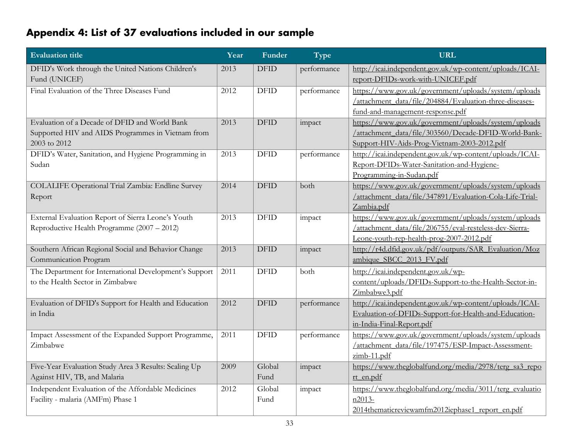# **Appendix 4: List of 37 evaluations included in our sample**

<span id="page-35-0"></span>

| <b>Evaluation title</b>                                | Year | Funder      | Type        | <b>URL</b>                                               |
|--------------------------------------------------------|------|-------------|-------------|----------------------------------------------------------|
| DFID's Work through the United Nations Children's      | 2013 | <b>DFID</b> | performance | http://icai.independent.gov.uk/wp-content/uploads/ICAI-  |
| Fund (UNICEF)                                          |      |             |             | report-DFIDs-work-with-UNICEF.pdf                        |
| Final Evaluation of the Three Diseases Fund            | 2012 | <b>DFID</b> | performance | https://www.gov.uk/government/uploads/system/uploads     |
|                                                        |      |             |             | /attachment_data/file/204884/Evaluation-three-diseases-  |
|                                                        |      |             |             | fund-and-management-response.pdf                         |
| Evaluation of a Decade of DFID and World Bank          | 2013 | <b>DFID</b> | impact      | https://www.gov.uk/government/uploads/system/uploads     |
| Supported HIV and AIDS Programmes in Vietnam from      |      |             |             | /attachment_data/file/303560/Decade-DFID-World-Bank-     |
| 2003 to 2012                                           |      |             |             | Support-HIV-Aids-Prog-Vietnam-2003-2012.pdf              |
| DFID's Water, Sanitation, and Hygiene Programming in   | 2013 | <b>DFID</b> | performance | http://icai.independent.gov.uk/wp-content/uploads/ICAI-  |
| Sudan                                                  |      |             |             | Report-DFIDs-Water-Sanitation-and-Hygiene-               |
|                                                        |      |             |             | Programming-in-Sudan.pdf                                 |
| COLALIFE Operational Trial Zambia: Endline Survey      | 2014 | <b>DFID</b> | both        | https://www.gov.uk/government/uploads/system/uploads     |
| Report                                                 |      |             |             | /attachment_data/file/347891/Evaluation-Cola-Life-Trial- |
|                                                        |      |             |             | Zambia.pdf                                               |
| External Evaluation Report of Sierra Leone's Youth     | 2013 | <b>DFID</b> | impact      | https://www.gov.uk/government/uploads/system/uploads     |
| Reproductive Health Programme (2007 - 2012)            |      |             |             | /attachment_data/file/206755/eval-resteless-dev-Sierra-  |
|                                                        |      |             |             | Leone-youth-rep-health-prog-2007-2012.pdf                |
| Southern African Regional Social and Behavior Change   | 2013 | <b>DFID</b> | impact      | http://r4d.dfid.gov.uk/pdf/outputs/SAR Evaluation/Moz    |
| Communication Program                                  |      |             |             | ambique SBCC 2013 FV.pdf                                 |
| The Department for International Development's Support | 2011 | <b>DFID</b> | both        | http://icai.independent.gov.uk/wp-                       |
| to the Health Sector in Zimbabwe                       |      |             |             | content/uploads/DFIDs-Support-to-the-Health-Sector-in-   |
|                                                        |      |             |             | Zimbabwe3.pdf                                            |
| Evaluation of DFID's Support for Health and Education  | 2012 | <b>DFID</b> | performance | http://icai.independent.gov.uk/wp-content/uploads/ICAI-  |
| in India                                               |      |             |             | Evaluation-of-DFIDs-Support-for-Health-and-Education-    |
|                                                        |      |             |             | in-India-Final-Report.pdf                                |
| Impact Assessment of the Expanded Support Programme,   | 2011 | <b>DFID</b> | performance | https://www.gov.uk/government/uploads/system/uploads     |
| Zimbabwe                                               |      |             |             | /attachment_data/file/197475/ESP-Impact-Assessment-      |
|                                                        |      |             |             | zimb-11.pdf                                              |
| Five-Year Evaluation Study Area 3 Results: Scaling Up  | 2009 | Global      | impact      | https://www.theglobalfund.org/media/2978/terg_sa3_repo   |
| Against HIV, TB, and Malaria                           |      | Fund        |             | rt en.pdf                                                |
| Independent Evaluation of the Affordable Medicines     | 2012 | Global      | impact      | https://www.theglobalfund.org/media/3011/terg_evaluatio  |
| Facility - malaria (AMFm) Phase 1                      |      | Fund        |             | $n2013-$                                                 |
|                                                        |      |             |             | 2014thematicreviewamfm2012iephase1 report en.pdf         |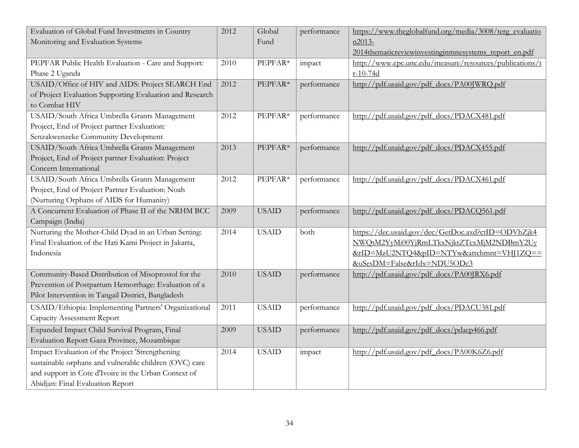| Evaluation of Global Fund Investments in Country<br>Monitoring and Evaluation Systems | 2012 | Global<br>Fund | performance | https://www.theglobalfund.org/media/3008/terg_evaluatio<br>n2013- |
|---------------------------------------------------------------------------------------|------|----------------|-------------|-------------------------------------------------------------------|
|                                                                                       |      |                |             | 2014thematicreviewinvestinginmnesystems report en.pdf             |
| PEPFAR Public Health Evaluation - Care and Support:                                   | 2010 | PEPFAR*        | impact      | http://www.cpc.unc.edu/measure/resources/publications/t           |
| Phase 2 Uganda                                                                        |      |                |             | $r-10-74d$                                                        |
| USAID/Office of HIV and AIDS: Project SEARCH End                                      | 2012 | PEPFAR*        | performance | http://pdf.usaid.gov/pdf_docs/PA00JWRQ.pdf                        |
| of Project Evaluation Supporting Evaluation and Research                              |      |                |             |                                                                   |
| to Combat HIV                                                                         |      |                |             |                                                                   |
| USAID/South Africa Umbrella Grants Management                                         | 2012 | PEPFAR*        | performance | http://pdf.usaid.gov/pdf_docs/PDACX481.pdf                        |
| Project, End of Project partner Evaluation:                                           |      |                |             |                                                                   |
| Senzakwenzeke Community Development                                                   |      |                |             |                                                                   |
| USAID/South Africa Umbrella Grants Management                                         | 2013 | PEPFAR*        | performance | http://pdf.usaid.gov/pdf_docs/PDACX455.pdf                        |
| Project, End of Project partner Evaluation: Project                                   |      |                |             |                                                                   |
| Concern International                                                                 |      |                |             |                                                                   |
| USAID/South Africa Umbrella Grants Management                                         | 2012 | PEPFAR*        | performance | http://pdf.usaid.gov/pdf_docs/PDACX461.pdf                        |
| Project, End of Project Partner Evaluation: Noah                                      |      |                |             |                                                                   |
| (Nurturing Orphans of AIDS for Humanity)                                              |      |                |             |                                                                   |
| A Concurrent Evaluation of Phase II of the NRHM BCC                                   | 2009 | <b>USAID</b>   | performance | http://pdf.usaid.gov/pdf_docs/PDACQ561.pdf                        |
| Campaign (India)                                                                      |      |                |             |                                                                   |
| Nurturing the Mother-Child Dyad in an Urban Setting:                                  | 2014 | <b>USAID</b>   | both        | https://dec.usaid.gov/dec/GetDoc.axd?ctID=ODVhZjk4                |
| Final Evaluation of the Hati Kami Project in Jakarta,                                 |      |                |             | NWQtM2YyMi00YjRmLTkxNjktZTcxMjM2NDBmY2Uv                          |
| Indonesia                                                                             |      |                |             | &rID=MzU2NTQ4&pID=NTYw&attchmnt=VHJ1ZQ==                          |
|                                                                                       |      |                |             | &uSesDM=False&rIdx=NDU5ODc3                                       |
| Community-Based Distribution of Misoprostol for the                                   | 2010 | <b>USAID</b>   | performance | http://pdf.usaid.gov/pdf_docs/PA00JRX6.pdf                        |
| Prevention of Postpartum Hemorrhage: Evaluation of a                                  |      |                |             |                                                                   |
| Pilot Intervention in Tangail District, Bangladesh                                    |      |                |             |                                                                   |
| USAID/Ethiopia: Implementing Partners' Organizational                                 | 2011 | <b>USAID</b>   | performance | http://pdf.usaid.gov/pdf_docs/PDACU381.pdf                        |
| <b>Capacity Assessment Report</b>                                                     |      |                |             |                                                                   |
| Expanded Impact Child Survival Program, Final                                         | 2009 | <b>USAID</b>   | performance | http://pdf.usaid.gov/pdf_docs/pdacp466.pdf                        |
| Evaluation Report Gaza Province, Mozambique                                           |      |                |             |                                                                   |
| Impact Evaluation of the Project 'Strengthening                                       | 2014 | <b>USAID</b>   | impact      | http://pdf.usaid.gov/pdf_docs/PA00K6Z6.pdf                        |
| sustainable orphans and vulnerable children (OVC) care                                |      |                |             |                                                                   |
| and support in Cote d'Ivoire in the Urban Context of                                  |      |                |             |                                                                   |
| Abidjan: Final Evaluation Report                                                      |      |                |             |                                                                   |